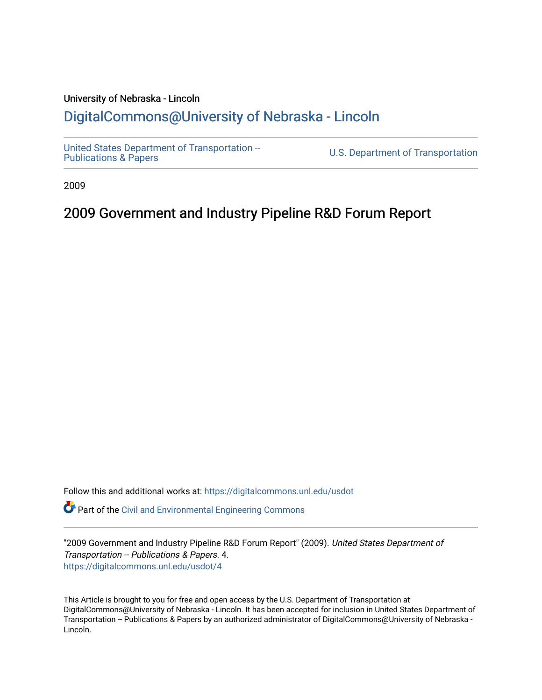#### University of Nebraska - Lincoln [DigitalCommons@University of Nebraska - Lincoln](https://digitalcommons.unl.edu/)

[United States Department of Transportation --](https://digitalcommons.unl.edu/usdot)<br>Publications & Papers

U.S. Department of Transportation

2009

#### 2009 Government and Industry Pipeline R&D Forum Report

Follow this and additional works at: [https://digitalcommons.unl.edu/usdot](https://digitalcommons.unl.edu/usdot?utm_source=digitalcommons.unl.edu%2Fusdot%2F4&utm_medium=PDF&utm_campaign=PDFCoverPages) 

Part of the [Civil and Environmental Engineering Commons](http://network.bepress.com/hgg/discipline/251?utm_source=digitalcommons.unl.edu%2Fusdot%2F4&utm_medium=PDF&utm_campaign=PDFCoverPages)

"2009 Government and Industry Pipeline R&D Forum Report" (2009). United States Department of Transportation -- Publications & Papers. 4. [https://digitalcommons.unl.edu/usdot/4](https://digitalcommons.unl.edu/usdot/4?utm_source=digitalcommons.unl.edu%2Fusdot%2F4&utm_medium=PDF&utm_campaign=PDFCoverPages) 

This Article is brought to you for free and open access by the U.S. Department of Transportation at DigitalCommons@University of Nebraska - Lincoln. It has been accepted for inclusion in United States Department of Transportation -- Publications & Papers by an authorized administrator of DigitalCommons@University of Nebraska - Lincoln.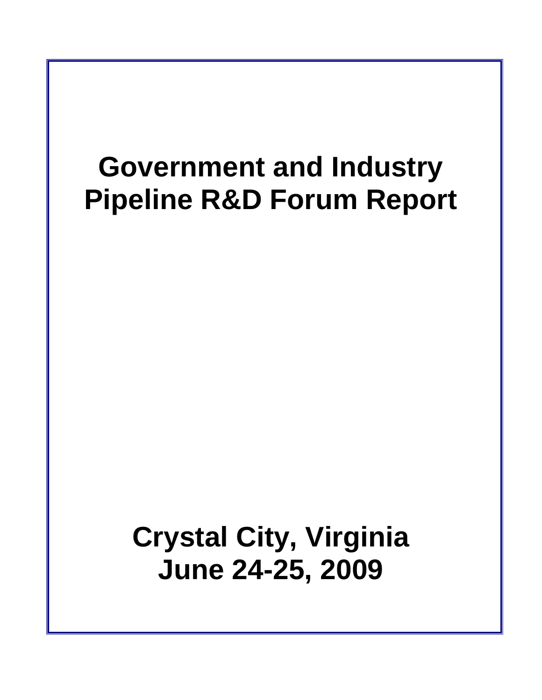# **Government and Industry Pipeline R&D Forum Report**

# **Crystal City, Virginia June 24-25, 2009**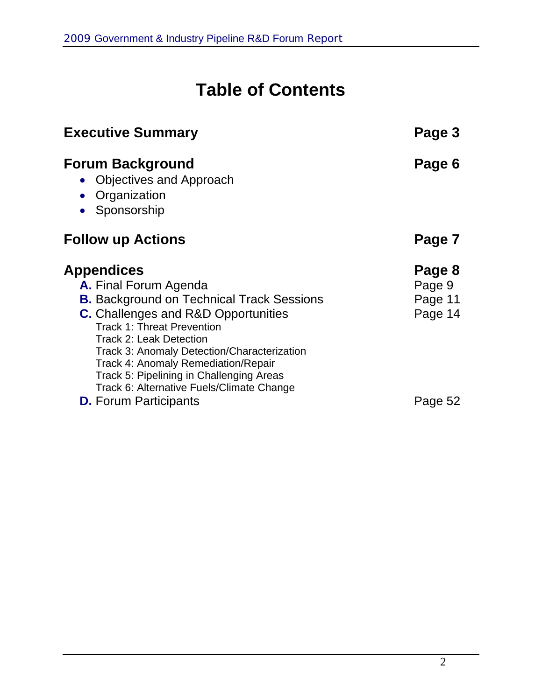## **Table of Contents**

| <b>Executive Summary</b>                                                                                                                                                                                                                                                                                                                                                                           | Page 3                                 |
|----------------------------------------------------------------------------------------------------------------------------------------------------------------------------------------------------------------------------------------------------------------------------------------------------------------------------------------------------------------------------------------------------|----------------------------------------|
| <b>Forum Background</b><br>• Objectives and Approach<br>Organization<br>Sponsorship                                                                                                                                                                                                                                                                                                                | Page 6                                 |
| <b>Follow up Actions</b>                                                                                                                                                                                                                                                                                                                                                                           | Page 7                                 |
| <b>Appendices</b><br>A. Final Forum Agenda<br><b>B.</b> Background on Technical Track Sessions<br><b>C.</b> Challenges and R&D Opportunities<br><b>Track 1: Threat Prevention</b><br><b>Track 2: Leak Detection</b><br>Track 3: Anomaly Detection/Characterization<br>Track 4: Anomaly Remediation/Repair<br>Track 5: Pipelining in Challenging Areas<br>Track 6: Alternative Fuels/Climate Change | Page 8<br>Page 9<br>Page 11<br>Page 14 |
| <b>D.</b> Forum Participants                                                                                                                                                                                                                                                                                                                                                                       | Page 52                                |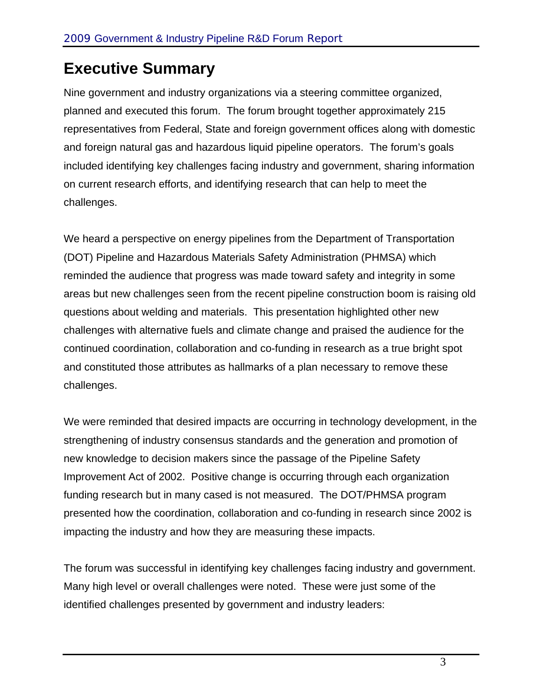### **Executive Summary**

Nine government and industry organizations via a steering committee organized, planned and executed this forum. The forum brought together approximately 215 representatives from Federal, State and foreign government offices along with domestic and foreign natural gas and hazardous liquid pipeline operators. The forum's goals included identifying key challenges facing industry and government, sharing information on current research efforts, and identifying research that can help to meet the challenges.

We heard a perspective on energy pipelines from the Department of Transportation (DOT) Pipeline and Hazardous Materials Safety Administration (PHMSA) which reminded the audience that progress was made toward safety and integrity in some areas but new challenges seen from the recent pipeline construction boom is raising old questions about welding and materials. This presentation highlighted other new challenges with alternative fuels and climate change and praised the audience for the continued coordination, collaboration and co-funding in research as a true bright spot and constituted those attributes as hallmarks of a plan necessary to remove these challenges.

We were reminded that desired impacts are occurring in technology development, in the strengthening of industry consensus standards and the generation and promotion of new knowledge to decision makers since the passage of the Pipeline Safety Improvement Act of 2002. Positive change is occurring through each organization funding research but in many cased is not measured. The DOT/PHMSA program presented how the coordination, collaboration and co-funding in research since 2002 is impacting the industry and how they are measuring these impacts.

The forum was successful in identifying key challenges facing industry and government. Many high level or overall challenges were noted. These were just some of the identified challenges presented by government and industry leaders: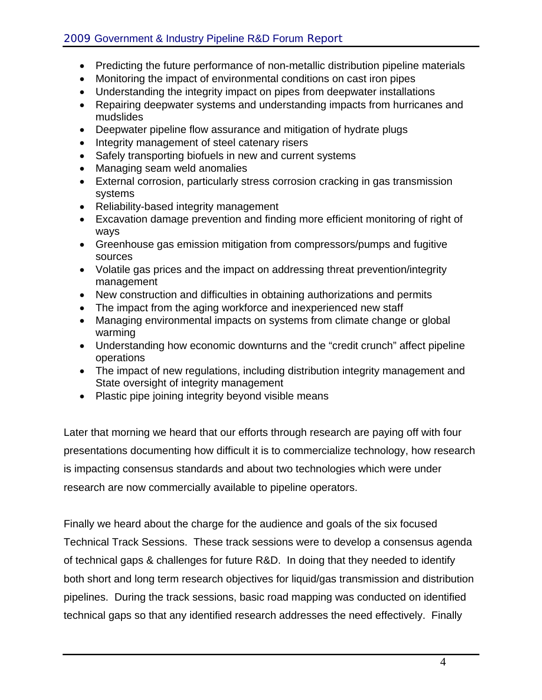- Predicting the future performance of non-metallic distribution pipeline materials
- Monitoring the impact of environmental conditions on cast iron pipes
- Understanding the integrity impact on pipes from deepwater installations
- Repairing deepwater systems and understanding impacts from hurricanes and mudslides
- Deepwater pipeline flow assurance and mitigation of hydrate plugs
- Integrity management of steel catenary risers
- Safely transporting biofuels in new and current systems
- Managing seam weld anomalies
- External corrosion, particularly stress corrosion cracking in gas transmission systems
- Reliability-based integrity management
- Excavation damage prevention and finding more efficient monitoring of right of ways
- Greenhouse gas emission mitigation from compressors/pumps and fugitive sources
- Volatile gas prices and the impact on addressing threat prevention/integrity management
- New construction and difficulties in obtaining authorizations and permits
- The impact from the aging workforce and inexperienced new staff
- Managing environmental impacts on systems from climate change or global warming
- Understanding how economic downturns and the "credit crunch" affect pipeline operations
- The impact of new regulations, including distribution integrity management and State oversight of integrity management
- Plastic pipe joining integrity beyond visible means

Later that morning we heard that our efforts through research are paying off with four presentations documenting how difficult it is to commercialize technology, how research is impacting consensus standards and about two technologies which were under research are now commercially available to pipeline operators.

Finally we heard about the charge for the audience and goals of the six focused Technical Track Sessions. These track sessions were to develop a consensus agenda of technical gaps & challenges for future R&D. In doing that they needed to identify both short and long term research objectives for liquid/gas transmission and distribution pipelines. During the track sessions, basic road mapping was conducted on identified technical gaps so that any identified research addresses the need effectively. Finally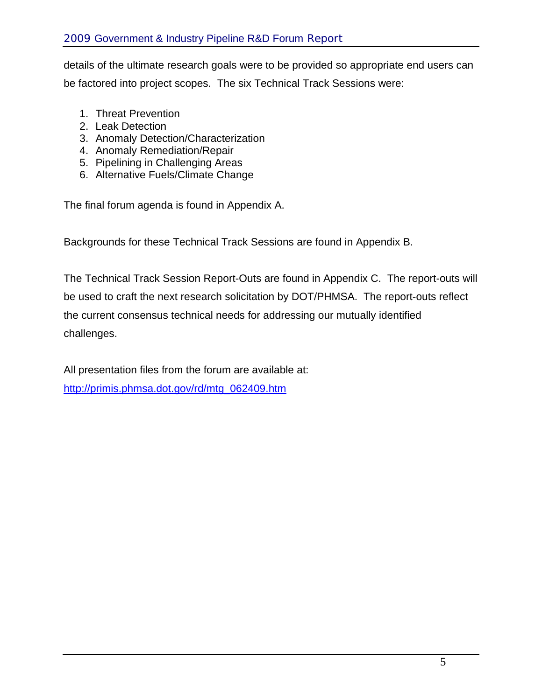details of the ultimate research goals were to be provided so appropriate end users can be factored into project scopes. The six Technical Track Sessions were:

- 1. Threat Prevention
- 2. Leak Detection
- 3. Anomaly Detection/Characterization
- 4. Anomaly Remediation/Repair
- 5. Pipelining in Challenging Areas
- 6. Alternative Fuels/Climate Change

The final forum agenda is found in Appendix A.

Backgrounds for these Technical Track Sessions are found in Appendix B.

The Technical Track Session Report-Outs are found in Appendix C. The report-outs will be used to craft the next research solicitation by DOT/PHMSA. The report-outs reflect the current consensus technical needs for addressing our mutually identified challenges.

All presentation files from the forum are available at: http://primis.phmsa.dot.gov/rd/mtg\_062409.htm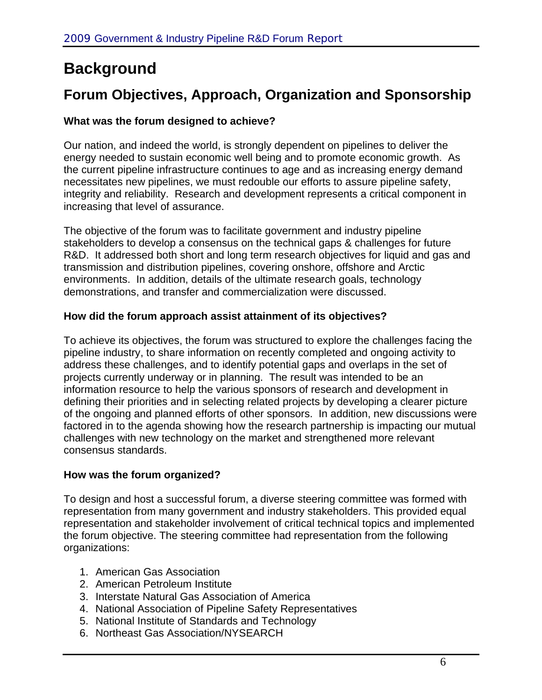### **Background**

### **Forum Objectives, Approach, Organization and Sponsorship**

#### **What was the forum designed to achieve?**

Our nation, and indeed the world, is strongly dependent on pipelines to deliver the energy needed to sustain economic well being and to promote economic growth. As the current pipeline infrastructure continues to age and as increasing energy demand necessitates new pipelines, we must redouble our efforts to assure pipeline safety, integrity and reliability. Research and development represents a critical component in increasing that level of assurance.

The objective of the forum was to facilitate government and industry pipeline stakeholders to develop a consensus on the technical gaps & challenges for future R&D. It addressed both short and long term research objectives for liquid and gas and transmission and distribution pipelines, covering onshore, offshore and Arctic environments. In addition, details of the ultimate research goals, technology demonstrations, and transfer and commercialization were discussed.

#### **How did the forum approach assist attainment of its objectives?**

To achieve its objectives, the forum was structured to explore the challenges facing the pipeline industry, to share information on recently completed and ongoing activity to address these challenges, and to identify potential gaps and overlaps in the set of projects currently underway or in planning. The result was intended to be an information resource to help the various sponsors of research and development in defining their priorities and in selecting related projects by developing a clearer picture of the ongoing and planned efforts of other sponsors. In addition, new discussions were factored in to the agenda showing how the research partnership is impacting our mutual challenges with new technology on the market and strengthened more relevant consensus standards.

#### **How was the forum organized?**

To design and host a successful forum, a diverse steering committee was formed with representation from many government and industry stakeholders. This provided equal representation and stakeholder involvement of critical technical topics and implemented the forum objective. The steering committee had representation from the following organizations:

- 1. American Gas Association
- 2. American Petroleum Institute
- 3. Interstate Natural Gas Association of America
- 4. National Association of Pipeline Safety Representatives
- 5. National Institute of Standards and Technology
- 6. Northeast Gas Association/NYSEARCH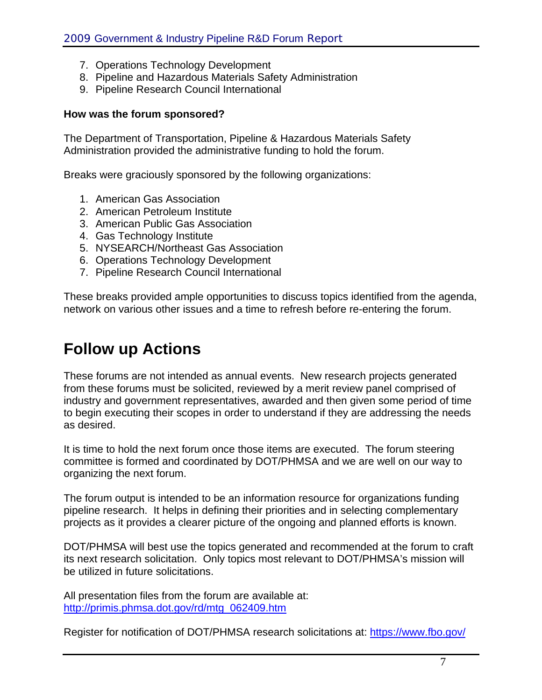- 7. Operations Technology Development
- 8. Pipeline and Hazardous Materials Safety Administration
- 9. Pipeline Research Council International

#### **How was the forum sponsored?**

The Department of Transportation, Pipeline & Hazardous Materials Safety Administration provided the administrative funding to hold the forum.

Breaks were graciously sponsored by the following organizations:

- 1. American Gas Association
- 2. American Petroleum Institute
- 3. American Public Gas Association
- 4. Gas Technology Institute
- 5. NYSEARCH/Northeast Gas Association
- 6. Operations Technology Development
- 7. Pipeline Research Council International

These breaks provided ample opportunities to discuss topics identified from the agenda, network on various other issues and a time to refresh before re-entering the forum.

### **Follow up Actions**

These forums are not intended as annual events. New research projects generated from these forums must be solicited, reviewed by a merit review panel comprised of industry and government representatives, awarded and then given some period of time to begin executing their scopes in order to understand if they are addressing the needs as desired.

It is time to hold the next forum once those items are executed. The forum steering committee is formed and coordinated by DOT/PHMSA and we are well on our way to organizing the next forum.

The forum output is intended to be an information resource for organizations funding pipeline research. It helps in defining their priorities and in selecting complementary projects as it provides a clearer picture of the ongoing and planned efforts is known.

DOT/PHMSA will best use the topics generated and recommended at the forum to craft its next research solicitation. Only topics most relevant to DOT/PHMSA's mission will be utilized in future solicitations.

All presentation files from the forum are available at: http://primis.phmsa.dot.gov/rd/mtg\_062409.htm

Register for notification of DOT/PHMSA research solicitations at: https://www.fbo.gov/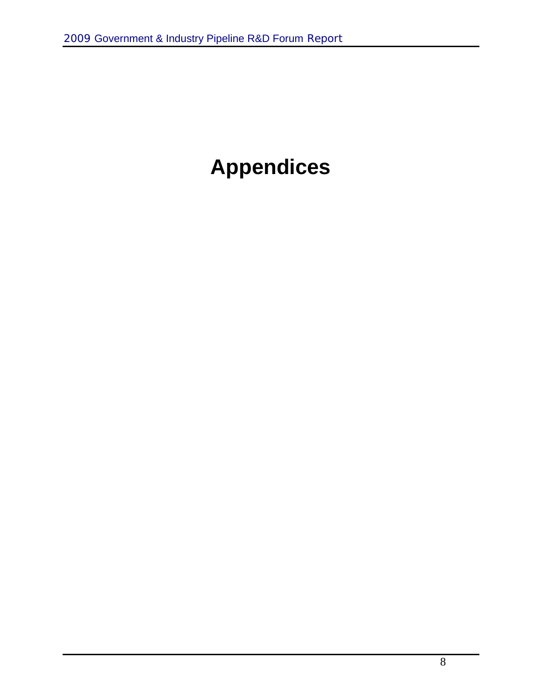## **Appendices**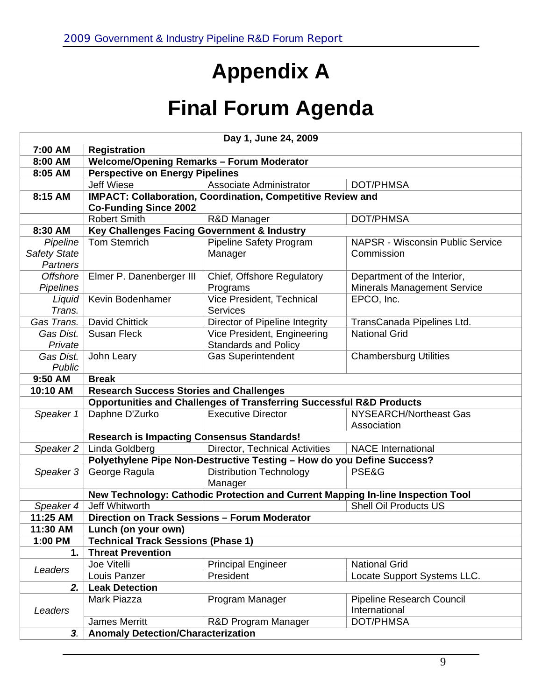## **Appendix A**

## **Final Forum Agenda**

|                                                                    |                                                                                 | Day 1, June 24, 2009                                                            |                                         |
|--------------------------------------------------------------------|---------------------------------------------------------------------------------|---------------------------------------------------------------------------------|-----------------------------------------|
| 7:00 AM                                                            | <b>Registration</b>                                                             |                                                                                 |                                         |
| 8:00 AM                                                            | <b>Welcome/Opening Remarks - Forum Moderator</b>                                |                                                                                 |                                         |
| 8:05 AM                                                            | <b>Perspective on Energy Pipelines</b>                                          |                                                                                 |                                         |
|                                                                    | <b>Jeff Wiese</b>                                                               | Associate Administrator                                                         | DOT/PHMSA                               |
| 8:15 AM                                                            |                                                                                 | IMPACT: Collaboration, Coordination, Competitive Review and                     |                                         |
|                                                                    | <b>Co-Funding Since 2002</b>                                                    |                                                                                 |                                         |
|                                                                    | <b>Robert Smith</b>                                                             | R&D Manager                                                                     | DOT/PHMSA                               |
| 8:30 AM                                                            | Key Challenges Facing Government & Industry                                     |                                                                                 |                                         |
| Pipeline                                                           | <b>Tom Stemrich</b>                                                             | <b>Pipeline Safety Program</b>                                                  | <b>NAPSR - Wisconsin Public Service</b> |
| <b>Safety State</b>                                                |                                                                                 | Manager                                                                         | Commission                              |
| <b>Partners</b>                                                    |                                                                                 |                                                                                 |                                         |
| <b>Offshore</b>                                                    | Elmer P. Danenberger III                                                        | Chief, Offshore Regulatory                                                      | Department of the Interior,             |
| <b>Pipelines</b>                                                   |                                                                                 | Programs                                                                        | <b>Minerals Management Service</b>      |
| Liquid                                                             | Kevin Bodenhamer                                                                | Vice President, Technical                                                       | EPCO, Inc.                              |
| Trans.                                                             |                                                                                 | Services                                                                        |                                         |
| Gas Trans.                                                         | <b>David Chittick</b>                                                           | Director of Pipeline Integrity                                                  | TransCanada Pipelines Ltd.              |
| Gas Dist.                                                          | <b>Susan Fleck</b>                                                              | Vice President, Engineering                                                     | <b>National Grid</b>                    |
| Private                                                            |                                                                                 | <b>Standards and Policy</b>                                                     |                                         |
| Gas Dist.                                                          | John Leary                                                                      | <b>Gas Superintendent</b>                                                       | <b>Chambersburg Utilities</b>           |
|                                                                    | Public                                                                          |                                                                                 |                                         |
| 9:50 AM                                                            | <b>Break</b>                                                                    |                                                                                 |                                         |
| 10:10 AM                                                           | <b>Research Success Stories and Challenges</b>                                  |                                                                                 |                                         |
|                                                                    | <b>Opportunities and Challenges of Transferring Successful R&amp;D Products</b> |                                                                                 |                                         |
| Speaker 1                                                          | Daphne D'Zurko                                                                  | <b>Executive Director</b>                                                       | NYSEARCH/Northeast Gas                  |
|                                                                    |                                                                                 |                                                                                 | Association                             |
|                                                                    | <b>Research is Impacting Consensus Standards!</b>                               |                                                                                 |                                         |
| Speaker 2                                                          | Linda Goldberg                                                                  | <b>Director, Technical Activities</b>                                           | <b>NACE International</b>               |
|                                                                    |                                                                                 | Polyethylene Pipe Non-Destructive Testing - How do you Define Success?          |                                         |
| Speaker 3                                                          | George Ragula                                                                   | <b>Distribution Technology</b>                                                  | PSE&G                                   |
|                                                                    |                                                                                 | Manager                                                                         |                                         |
|                                                                    |                                                                                 | New Technology: Cathodic Protection and Current Mapping In-line Inspection Tool |                                         |
| Speaker 4                                                          | Jeff Whitworth                                                                  |                                                                                 | <b>Shell Oil Products US</b>            |
| 11:25 AM                                                           | Direction on Track Sessions - Forum Moderator                                   |                                                                                 |                                         |
| 11:30 AM                                                           | Lunch (on your own)                                                             |                                                                                 |                                         |
|                                                                    | 1:00 PM<br><b>Technical Track Sessions (Phase 1)</b>                            |                                                                                 |                                         |
| 1.                                                                 | <b>Threat Prevention</b>                                                        |                                                                                 |                                         |
| Leaders                                                            | Joe Vitelli                                                                     | <b>Principal Engineer</b>                                                       | <b>National Grid</b>                    |
|                                                                    | Louis Panzer                                                                    | President                                                                       | Locate Support Systems LLC.             |
| 2.                                                                 | <b>Leak Detection</b>                                                           |                                                                                 |                                         |
| Mark Piazza<br>Program Manager<br><b>Pipeline Research Council</b> |                                                                                 |                                                                                 |                                         |
| Leaders                                                            |                                                                                 |                                                                                 | International                           |
|                                                                    | <b>James Merritt</b>                                                            | R&D Program Manager                                                             | <b>DOT/PHMSA</b>                        |
| 3.                                                                 | <b>Anomaly Detection/Characterization</b>                                       |                                                                                 |                                         |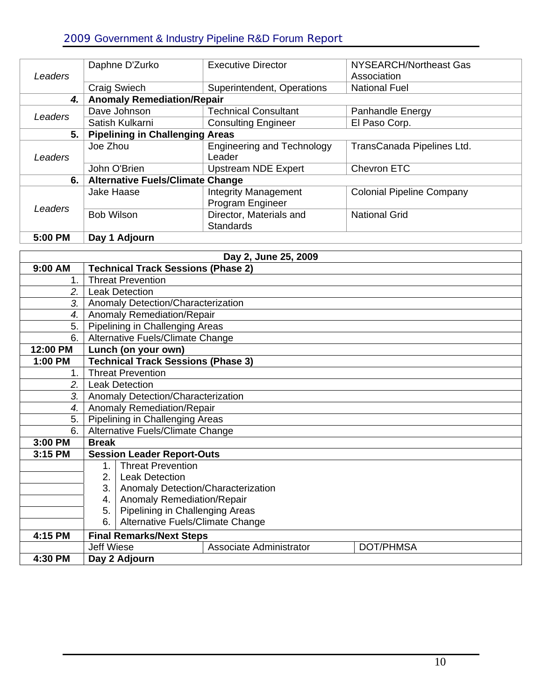#### 2009 Government & Industry Pipeline R&D Forum Report

| Leaders | Daphne D'Zurko                          | <b>Executive Director</b>         | NYSEARCH/Northeast Gas<br>Association |
|---------|-----------------------------------------|-----------------------------------|---------------------------------------|
|         | <b>Craig Swiech</b>                     | Superintendent, Operations        | <b>National Fuel</b>                  |
| 4.      | <b>Anomaly Remediation/Repair</b>       |                                   |                                       |
| Leaders | Dave Johnson                            | <b>Technical Consultant</b>       | Panhandle Energy                      |
|         | Satish Kulkarni                         | <b>Consulting Engineer</b>        | El Paso Corp.                         |
| 5.      | <b>Pipelining in Challenging Areas</b>  |                                   |                                       |
|         | Joe Zhou                                | <b>Engineering and Technology</b> | TransCanada Pipelines Ltd.            |
| Leaders |                                         | Leader                            |                                       |
|         | John O'Brien                            | <b>Upstream NDE Expert</b>        | Chevron ETC                           |
| 6.      | <b>Alternative Fuels/Climate Change</b> |                                   |                                       |
|         | Jake Haase                              | <b>Integrity Management</b>       | <b>Colonial Pipeline Company</b>      |
| Leaders |                                         | Program Engineer                  |                                       |
|         | <b>Bob Wilson</b>                       | Director, Materials and           | <b>National Grid</b>                  |
|         |                                         | <b>Standards</b>                  |                                       |
| 5:00 PM | Day 1 Adjourn                           |                                   |                                       |

| Day 2, June 25, 2009    |                                                           |  |
|-------------------------|-----------------------------------------------------------|--|
| 9:00 AM                 | <b>Technical Track Sessions (Phase 2)</b>                 |  |
| 1.                      | <b>Threat Prevention</b>                                  |  |
| 2.                      | <b>Leak Detection</b>                                     |  |
| 3.                      | Anomaly Detection/Characterization                        |  |
| 4.                      | Anomaly Remediation/Repair                                |  |
| 5.                      | Pipelining in Challenging Areas                           |  |
| 6.                      | Alternative Fuels/Climate Change                          |  |
| 12:00 PM                | Lunch (on your own)                                       |  |
| 1:00 PM                 | <b>Technical Track Sessions (Phase 3)</b>                 |  |
| 1.                      | <b>Threat Prevention</b>                                  |  |
| 2.                      | <b>Leak Detection</b>                                     |  |
| 3.                      | Anomaly Detection/Characterization                        |  |
| 4.                      | Anomaly Remediation/Repair                                |  |
| 5.                      | Pipelining in Challenging Areas                           |  |
| 6.                      | Alternative Fuels/Climate Change                          |  |
| 3:00 PM<br><b>Break</b> |                                                           |  |
| 3:15 PM                 | <b>Session Leader Report-Outs</b>                         |  |
|                         | <b>Threat Prevention</b><br>1.                            |  |
|                         | 2.<br><b>Leak Detection</b>                               |  |
|                         | Anomaly Detection/Characterization<br>3.                  |  |
|                         | Anomaly Remediation/Repair<br>4.                          |  |
|                         | Pipelining in Challenging Areas<br>5.                     |  |
|                         | Alternative Fuels/Climate Change<br>6.                    |  |
| 4:15 PM                 | <b>Final Remarks/Next Steps</b>                           |  |
|                         | <b>Jeff Wiese</b><br>Associate Administrator<br>DOT/PHMSA |  |
| 4:30 PM                 | Day 2 Adjourn                                             |  |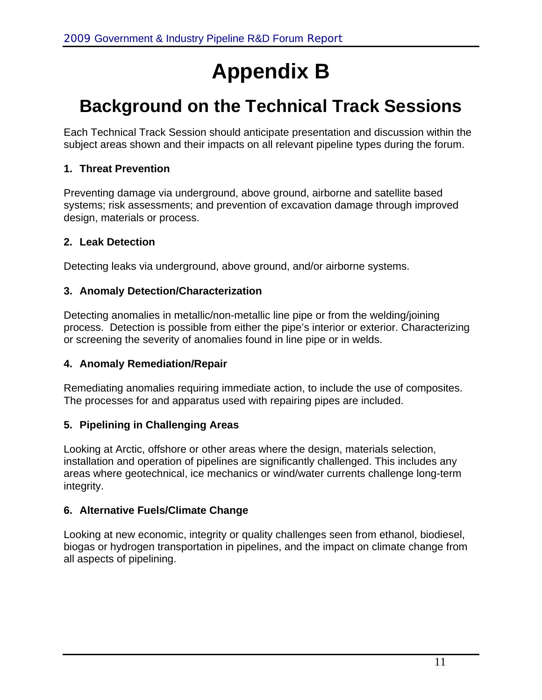## **Appendix B**

## **Background on the Technical Track Sessions**

Each Technical Track Session should anticipate presentation and discussion within the subject areas shown and their impacts on all relevant pipeline types during the forum.

#### **1. Threat Prevention**

Preventing damage via underground, above ground, airborne and satellite based systems; risk assessments; and prevention of excavation damage through improved design, materials or process.

#### **2. Leak Detection**

Detecting leaks via underground, above ground, and/or airborne systems.

#### **3. Anomaly Detection/Characterization**

Detecting anomalies in metallic/non-metallic line pipe or from the welding/joining process. Detection is possible from either the pipe's interior or exterior. Characterizing or screening the severity of anomalies found in line pipe or in welds.

#### **4. Anomaly Remediation/Repair**

Remediating anomalies requiring immediate action, to include the use of composites. The processes for and apparatus used with repairing pipes are included.

#### **5. Pipelining in Challenging Areas**

Looking at Arctic, offshore or other areas where the design, materials selection, installation and operation of pipelines are significantly challenged. This includes any areas where geotechnical, ice mechanics or wind/water currents challenge long-term integrity.

#### **6. Alternative Fuels/Climate Change**

Looking at new economic, integrity or quality challenges seen from ethanol, biodiesel, biogas or hydrogen transportation in pipelines, and the impact on climate change from all aspects of pipelining.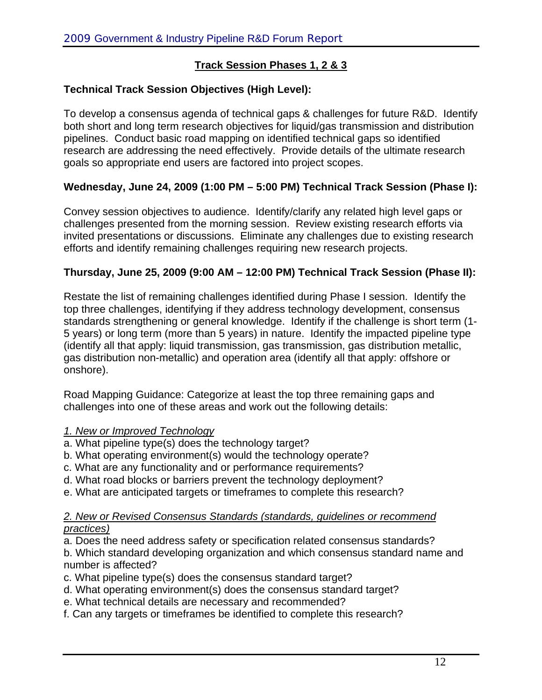#### **Track Session Phases 1, 2 & 3**

#### **Technical Track Session Objectives (High Level):**

To develop a consensus agenda of technical gaps & challenges for future R&D. Identify both short and long term research objectives for liquid/gas transmission and distribution pipelines. Conduct basic road mapping on identified technical gaps so identified research are addressing the need effectively. Provide details of the ultimate research goals so appropriate end users are factored into project scopes.

#### **Wednesday, June 24, 2009 (1:00 PM – 5:00 PM) Technical Track Session (Phase I):**

Convey session objectives to audience. Identify/clarify any related high level gaps or challenges presented from the morning session. Review existing research efforts via invited presentations or discussions. Eliminate any challenges due to existing research efforts and identify remaining challenges requiring new research projects.

#### **Thursday, June 25, 2009 (9:00 AM – 12:00 PM) Technical Track Session (Phase II):**

Restate the list of remaining challenges identified during Phase I session. Identify the top three challenges, identifying if they address technology development, consensus standards strengthening or general knowledge. Identify if the challenge is short term (1- 5 years) or long term (more than 5 years) in nature. Identify the impacted pipeline type (identify all that apply: liquid transmission, gas transmission, gas distribution metallic, gas distribution non-metallic) and operation area (identify all that apply: offshore or onshore).

Road Mapping Guidance: Categorize at least the top three remaining gaps and challenges into one of these areas and work out the following details:

#### *1. New or Improved Technology*

- a. What pipeline type(s) does the technology target?
- b. What operating environment(s) would the technology operate?
- c. What are any functionality and or performance requirements?
- d. What road blocks or barriers prevent the technology deployment?
- e. What are anticipated targets or timeframes to complete this research?

#### *2. New or Revised Consensus Standards (standards, guidelines or recommend practices)*

a. Does the need address safety or specification related consensus standards?

b. Which standard developing organization and which consensus standard name and number is affected?

- c. What pipeline type(s) does the consensus standard target?
- d. What operating environment(s) does the consensus standard target?
- e. What technical details are necessary and recommended?
- f. Can any targets or timeframes be identified to complete this research?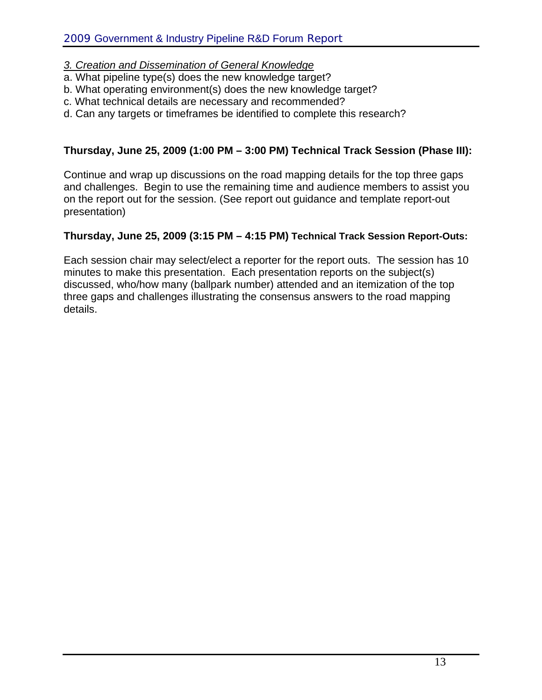#### *3. Creation and Dissemination of General Knowledge*

- a. What pipeline type(s) does the new knowledge target?
- b. What operating environment(s) does the new knowledge target?
- c. What technical details are necessary and recommended?
- d. Can any targets or timeframes be identified to complete this research?

#### **Thursday, June 25, 2009 (1:00 PM – 3:00 PM) Technical Track Session (Phase III):**

Continue and wrap up discussions on the road mapping details for the top three gaps and challenges. Begin to use the remaining time and audience members to assist you on the report out for the session. (See report out guidance and template report-out presentation)

#### **Thursday, June 25, 2009 (3:15 PM – 4:15 PM) Technical Track Session Report-Outs:**

Each session chair may select/elect a reporter for the report outs. The session has 10 minutes to make this presentation. Each presentation reports on the subject(s) discussed, who/how many (ballpark number) attended and an itemization of the top three gaps and challenges illustrating the consensus answers to the road mapping details.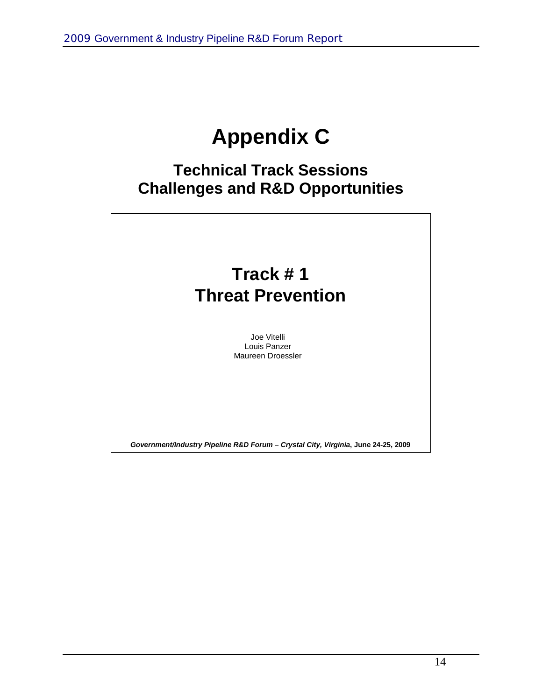## **Appendix C**

### **Technical Track Sessions Challenges and R&D Opportunities**



14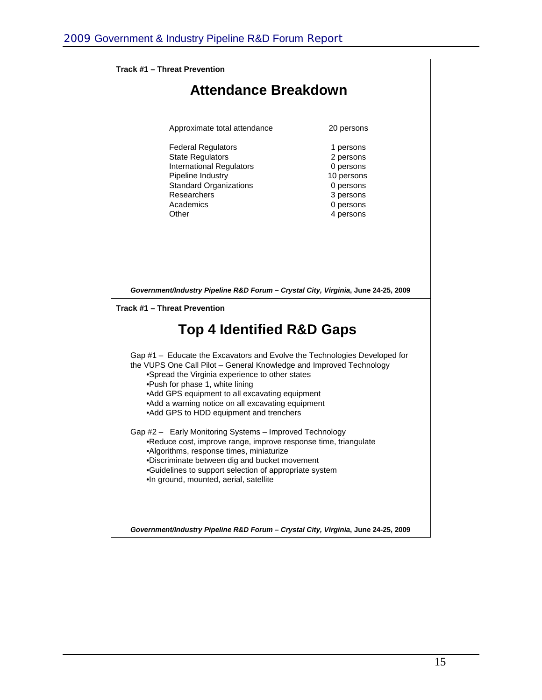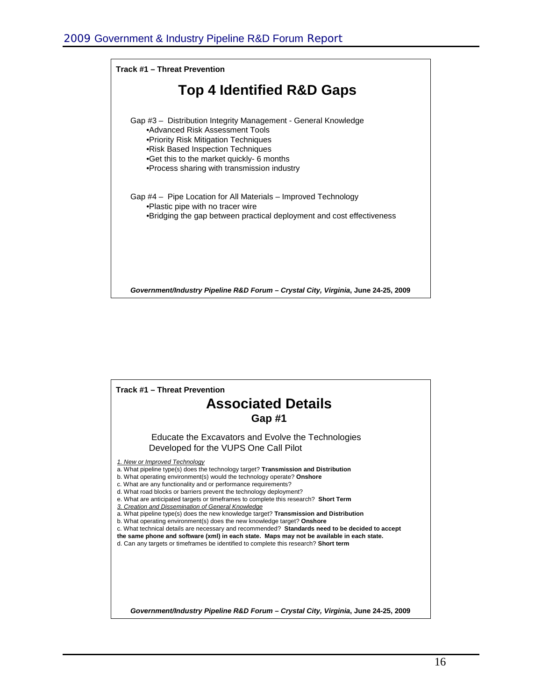

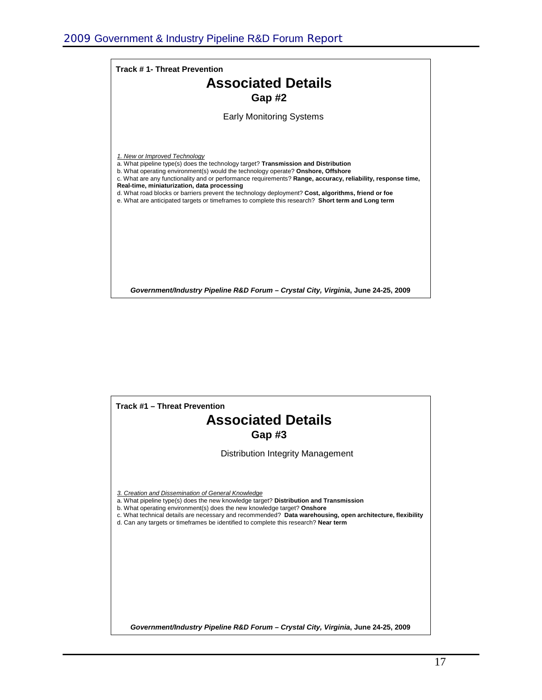

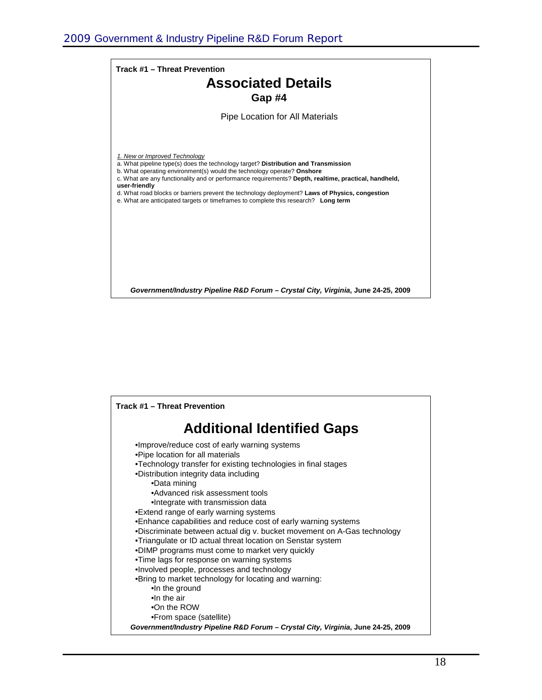

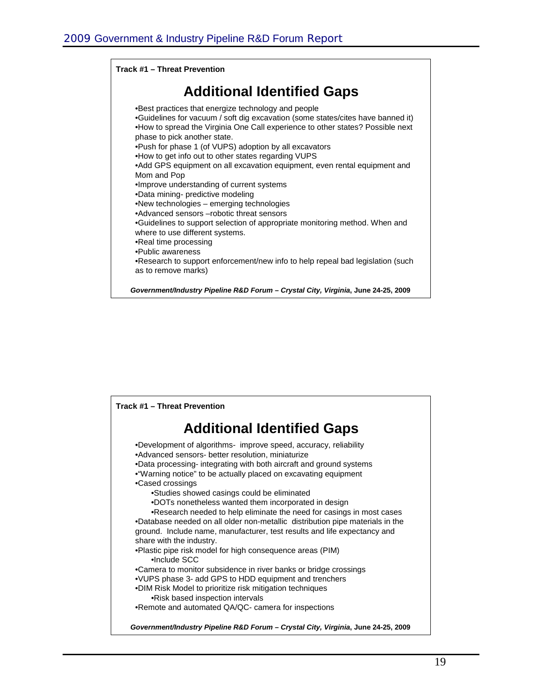

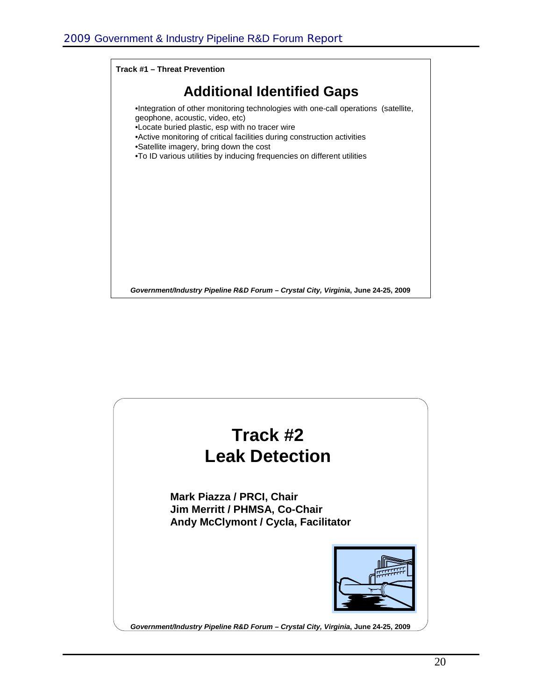

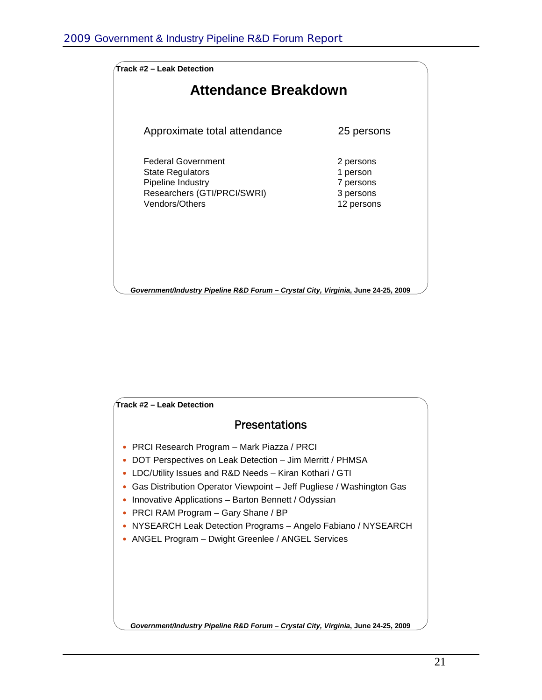| Track #2 – Leak Detection                                                                                                  |                                                               |
|----------------------------------------------------------------------------------------------------------------------------|---------------------------------------------------------------|
| Attendance Breakdown                                                                                                       |                                                               |
| Approximate total attendance                                                                                               | 25 persons                                                    |
| <b>Federal Government</b><br><b>State Regulators</b><br>Pipeline Industry<br>Researchers (GTI/PRCI/SWRI)<br>Vendors/Others | 2 persons<br>1 person<br>7 persons<br>3 persons<br>12 persons |
| Government/Industry Pipeline R&D Forum - Crystal City, Virginia, June 24-25, 2009                                          |                                                               |

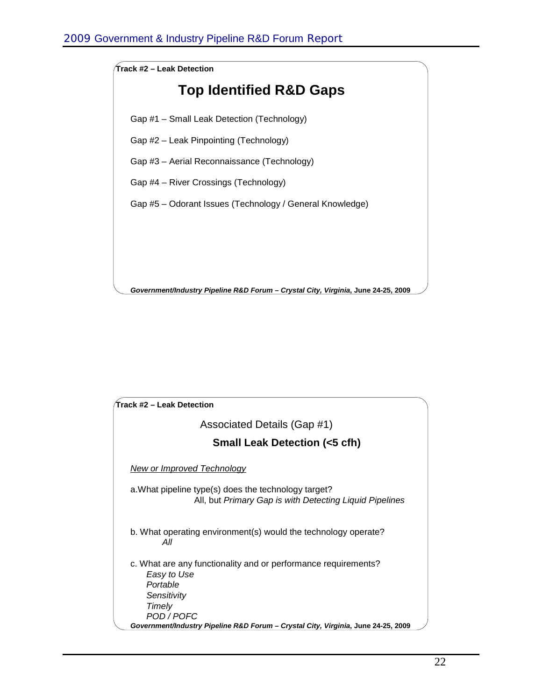

| Track #2 – Leak Detection                                                                                       |
|-----------------------------------------------------------------------------------------------------------------|
| Associated Details (Gap #1)                                                                                     |
| <b>Small Leak Detection (&lt;5 cfh)</b>                                                                         |
| <b>New or Improved Technology</b>                                                                               |
| a. What pipeline type(s) does the technology target?<br>All, but Primary Gap is with Detecting Liquid Pipelines |
| b. What operating environment(s) would the technology operate?<br>All                                           |
| c. What are any functionality and or performance requirements?<br>Easy to Use                                   |
| Portable                                                                                                        |
| Sensitivity                                                                                                     |
| Timely                                                                                                          |
| POD / POFC<br>Government/Industry Pipeline R&D Forum - Crystal City, Virginia, June 24-25, 2009                 |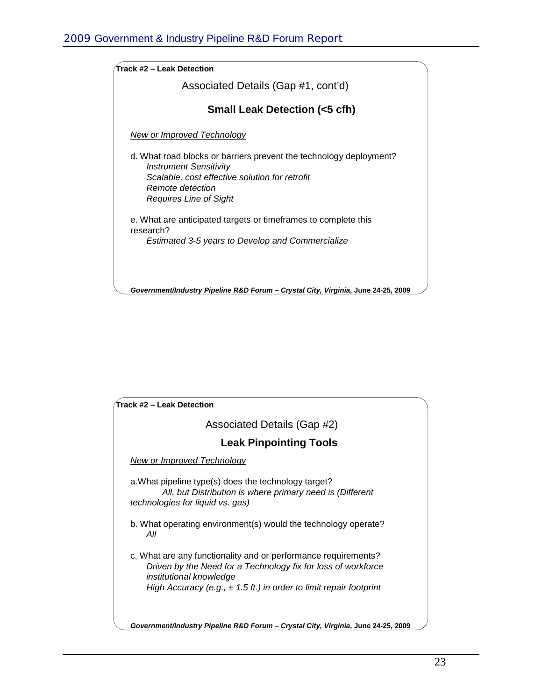| Track #2 – Leak Detection                                                                                                                                                                           |
|-----------------------------------------------------------------------------------------------------------------------------------------------------------------------------------------------------|
| Associated Details (Gap #1, cont'd)                                                                                                                                                                 |
| <b>Small Leak Detection (&lt;5 cfh)</b>                                                                                                                                                             |
| <u>New or Improved Technology</u>                                                                                                                                                                   |
| d. What road blocks or barriers prevent the technology deployment?<br><b>Instrument Sensitivity</b><br>Scalable, cost effective solution for retrofit<br>Remote detection<br>Requires Line of Sight |
| e. What are anticipated targets or timeframes to complete this<br>research?                                                                                                                         |
| Estimated 3-5 years to Develop and Commercialize                                                                                                                                                    |
| Government/Industry Pipeline R&D Forum - Crystal City, Virginia, June 24-25, 2009                                                                                                                   |

| Track #2 – Leak Detection                                                                |                                                                                                                                                                                                           |
|------------------------------------------------------------------------------------------|-----------------------------------------------------------------------------------------------------------------------------------------------------------------------------------------------------------|
|                                                                                          | Associated Details (Gap #2)                                                                                                                                                                               |
|                                                                                          | <b>Leak Pinpointing Tools</b>                                                                                                                                                                             |
| <b>New or Improved Technology</b>                                                        |                                                                                                                                                                                                           |
| a. What pipeline type(s) does the technology target?<br>technologies for liquid vs. gas) | All, but Distribution is where primary need is (Different                                                                                                                                                 |
| All                                                                                      | b. What operating environment(s) would the technology operate?                                                                                                                                            |
| institutional knowledge                                                                  | c. What are any functionality and or performance requirements?<br>Driven by the Need for a Technology fix for loss of workforce<br>High Accuracy (e.g., $\pm$ 1.5 ft.) in order to limit repair footprint |
|                                                                                          | Government/Industry Pipeline R&D Forum - Crystal City, Virginia, June 24-25, 2009                                                                                                                         |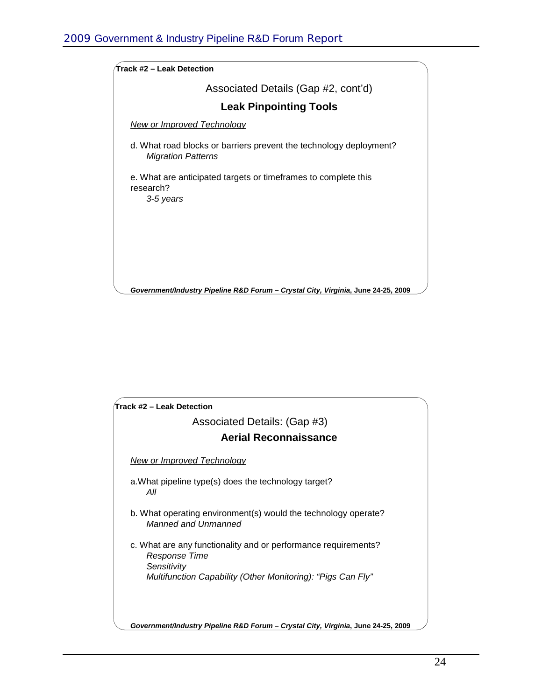| Track #2 – Leak Detection                                                                       |
|-------------------------------------------------------------------------------------------------|
| Associated Details (Gap #2, cont'd)                                                             |
| <b>Leak Pinpointing Tools</b>                                                                   |
| <b>New or Improved Technology</b>                                                               |
| d. What road blocks or barriers prevent the technology deployment?<br><b>Migration Patterns</b> |
| e. What are anticipated targets or timeframes to complete this<br>research?<br>3-5 years        |
|                                                                                                 |
|                                                                                                 |
|                                                                                                 |
| Government/Industry Pipeline R&D Forum - Crystal City, Virginia, June 24-25, 2009               |

| Track #2 – Leak Detection                                                                      |
|------------------------------------------------------------------------------------------------|
| Associated Details: (Gap #3)                                                                   |
| <b>Aerial Reconnaissance</b>                                                                   |
| <b>New or Improved Technology</b>                                                              |
| a. What pipeline type(s) does the technology target?<br>All                                    |
| b. What operating environment(s) would the technology operate?<br>Manned and Unmanned          |
| c. What are any functionality and or performance requirements?<br>Response Time<br>Sensitivity |
| Multifunction Capability (Other Monitoring): "Pigs Can Fly"                                    |
|                                                                                                |
| Government/Industry Pipeline R&D Forum - Crystal City, Virginia, June 24-25, 2009              |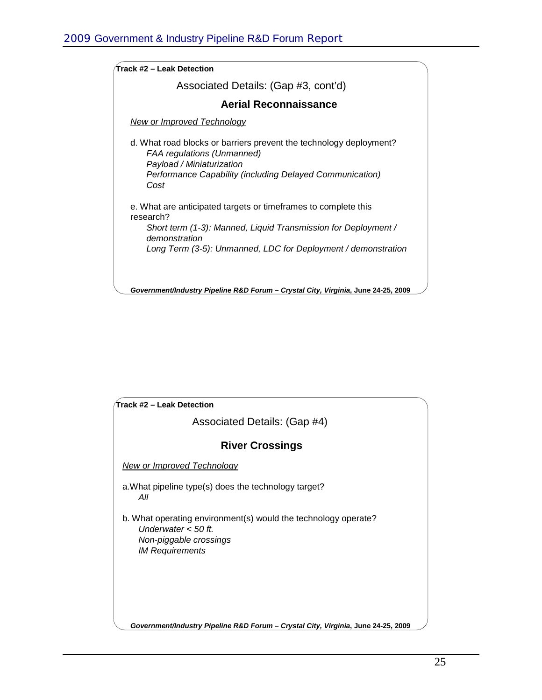| ${\cal T}$ rack #2 – Leak Detection                                                                                                                                                                                             |
|---------------------------------------------------------------------------------------------------------------------------------------------------------------------------------------------------------------------------------|
| Associated Details: (Gap #3, cont'd)                                                                                                                                                                                            |
| <b>Aerial Reconnaissance</b>                                                                                                                                                                                                    |
| <b>New or Improved Technology</b>                                                                                                                                                                                               |
| d. What road blocks or barriers prevent the technology deployment?<br><b>FAA regulations (Unmanned)</b><br>Payload / Miniaturization<br>Performance Capability (including Delayed Communication)<br>Cost                        |
| e. What are anticipated targets or timeframes to complete this<br>research?<br>Short term (1-3): Manned, Liquid Transmission for Deployment /<br>demonstration<br>Long Term (3-5): Unmanned, LDC for Deployment / demonstration |
| Government/Industry Pipeline R&D Forum - Crystal City, Virginia, June 24-25, 2009                                                                                                                                               |

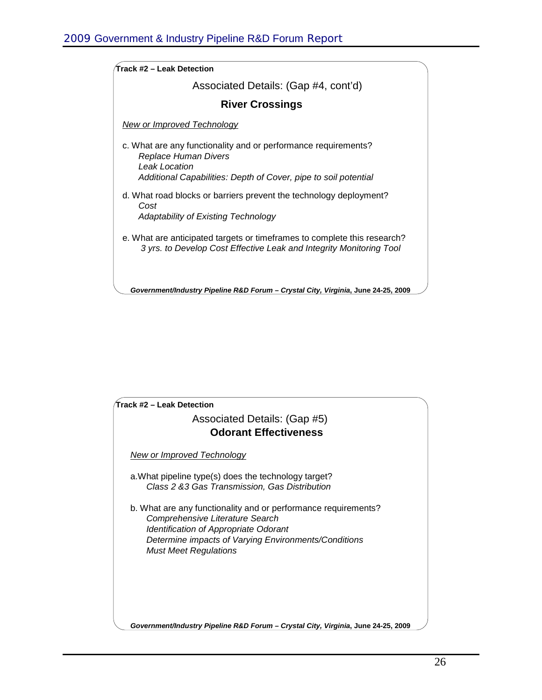| ∕Track #2 – Leak Detection                                                                                                                      |
|-------------------------------------------------------------------------------------------------------------------------------------------------|
| Associated Details: (Gap #4, cont'd)                                                                                                            |
| <b>River Crossings</b>                                                                                                                          |
| New or Improved Technology                                                                                                                      |
| c. What are any functionality and or performance requirements?<br>Replace Human Divers<br>Leak Location                                         |
| Additional Capabilities: Depth of Cover, pipe to soil potential                                                                                 |
| d. What road blocks or barriers prevent the technology deployment?<br>Cost                                                                      |
| Adaptability of Existing Technology                                                                                                             |
| e. What are anticipated targets or timeframes to complete this research?<br>3 yrs. to Develop Cost Effective Leak and Integrity Monitoring Tool |
| Government/Industry Pipeline R&D Forum - Crystal City, Virginia, June 24-25, 2009                                                               |

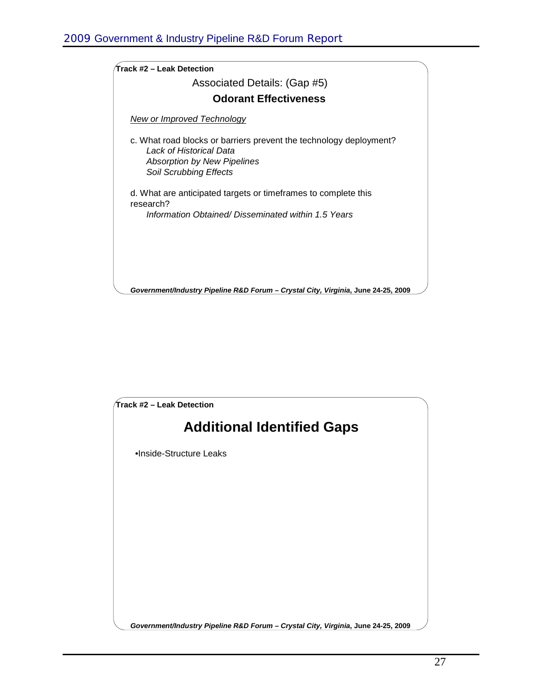

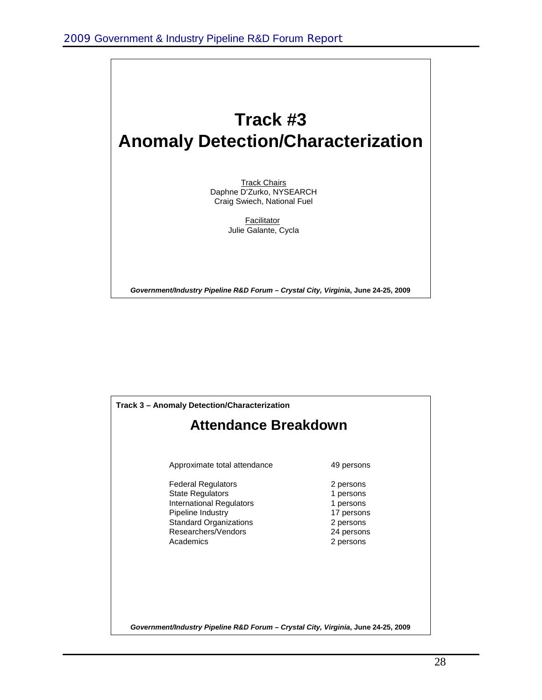## **Track #3 Anomaly Detection/Characterization**

**Track Chairs** Daphne D'Zurko, NYSEARCH Craig Swiech, National Fuel

> **Facilitator** Julie Galante, Cycla

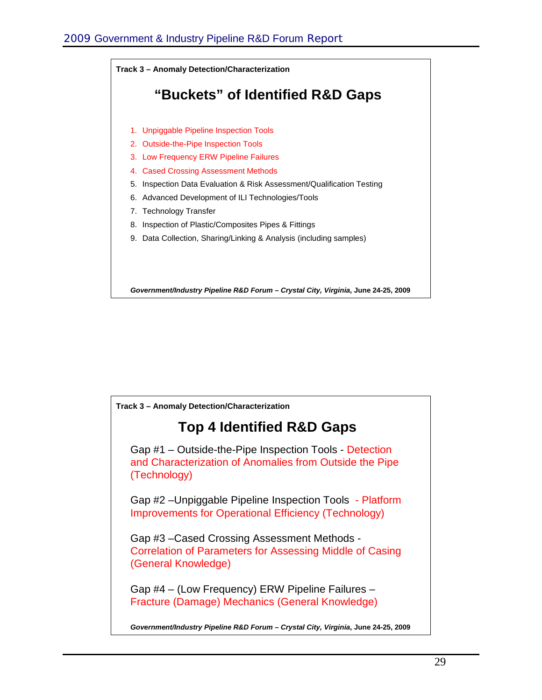

**Track 3 – Anomaly Detection/Characterization**

### **Top 4 Identified R&D Gaps**

Gap #1 – Outside-the-Pipe Inspection Tools - Detection and Characterization of Anomalies from Outside the Pipe (Technology)

Gap #2 –Unpiggable Pipeline Inspection Tools - Platform Improvements for Operational Efficiency (Technology)

Gap #3 –Cased Crossing Assessment Methods - Correlation of Parameters for Assessing Middle of Casing (General Knowledge)

Gap #4 – (Low Frequency) ERW Pipeline Failures – Fracture (Damage) Mechanics (General Knowledge)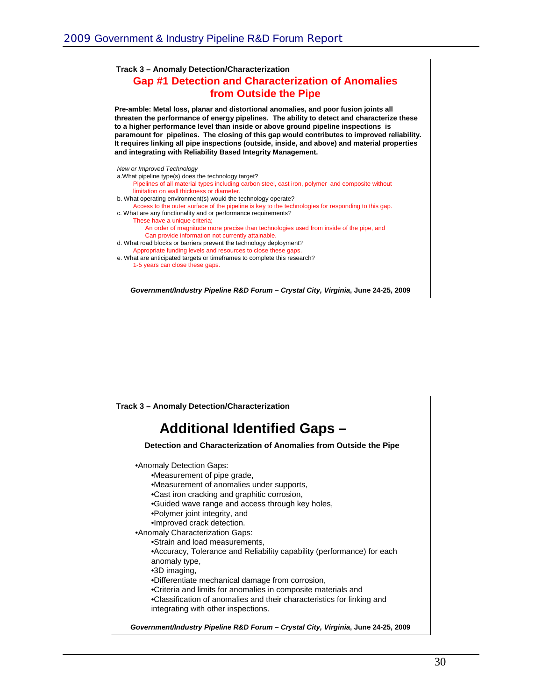#### **Gap #1 Detection and Characterization of Anomalies from Outside the Pipe Track 3 – Anomaly Detection/Characterization**

**Pre-amble: Metal loss, planar and distortional anomalies, and poor fusion joints all threaten the performance of energy pipelines. The ability to detect and characterize these to a higher performance level than inside or above ground pipeline inspections is paramount for pipelines. The closing of this gap would contributes to improved reliability. It requires linking all pipe inspections (outside, inside, and above) and material properties and integrating with Reliability Based Integrity Management.** 



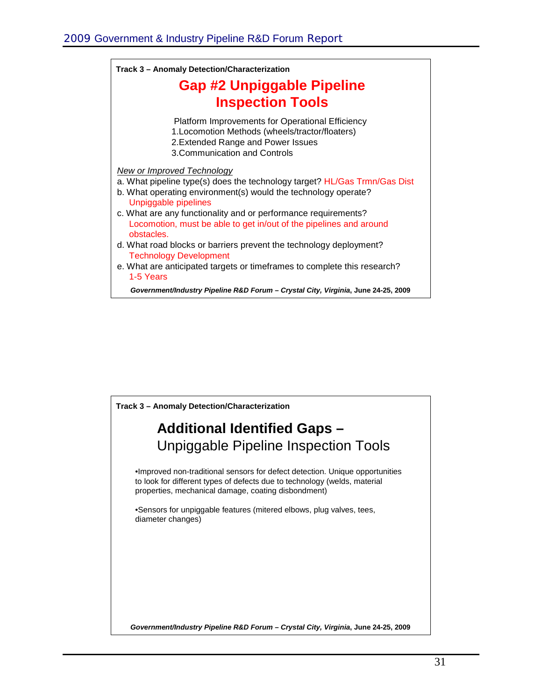| Track 3 - Anomaly Detection/Characterization                                                                                                                                     |  |
|----------------------------------------------------------------------------------------------------------------------------------------------------------------------------------|--|
| <b>Gap #2 Unpiggable Pipeline</b><br><b>Inspection Tools</b>                                                                                                                     |  |
|                                                                                                                                                                                  |  |
| <b>New or Improved Technology</b><br>a. What pipeline type(s) does the technology target? HL/Gas Trmn/Gas Dist<br>b. What operating environment(s) would the technology operate? |  |
| Unpiggable pipelines<br>c. What are any functionality and or performance requirements?<br>Locomotion, must be able to get in/out of the pipelines and around<br>obstacles.       |  |
| d. What road blocks or barriers prevent the technology deployment?<br><b>Technology Development</b>                                                                              |  |
| e. What are anticipated targets or timeframes to complete this research?<br>1-5 Years                                                                                            |  |
|                                                                                                                                                                                  |  |

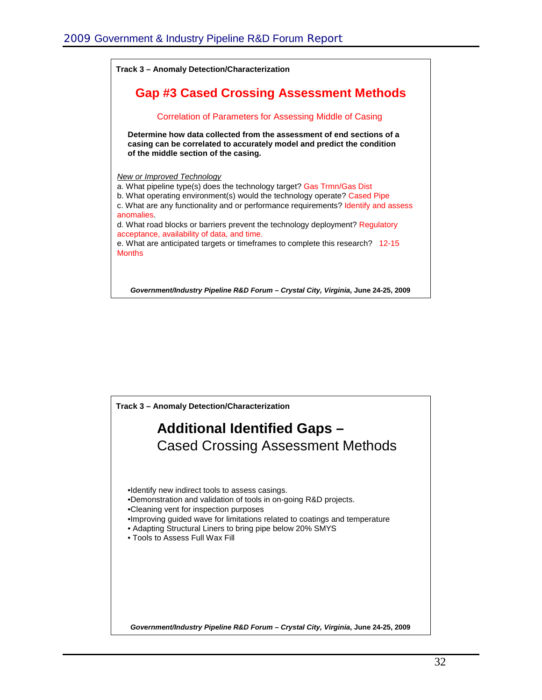

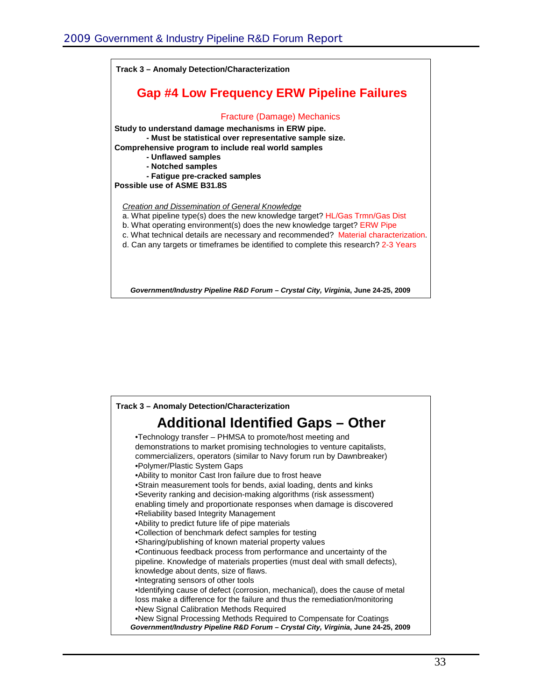

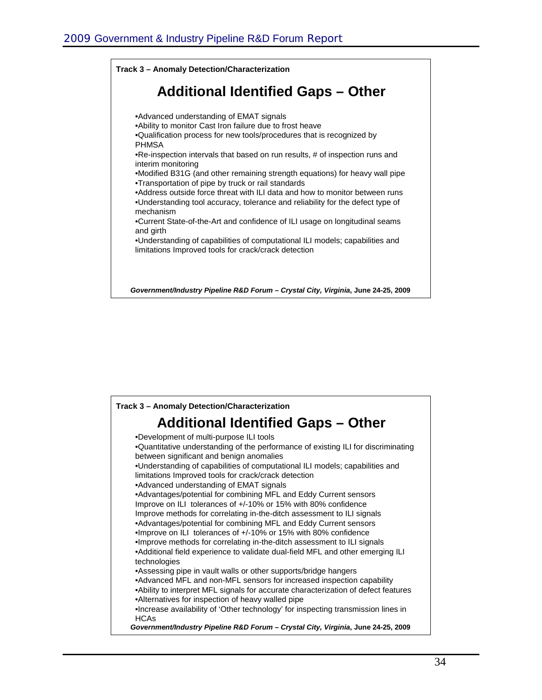

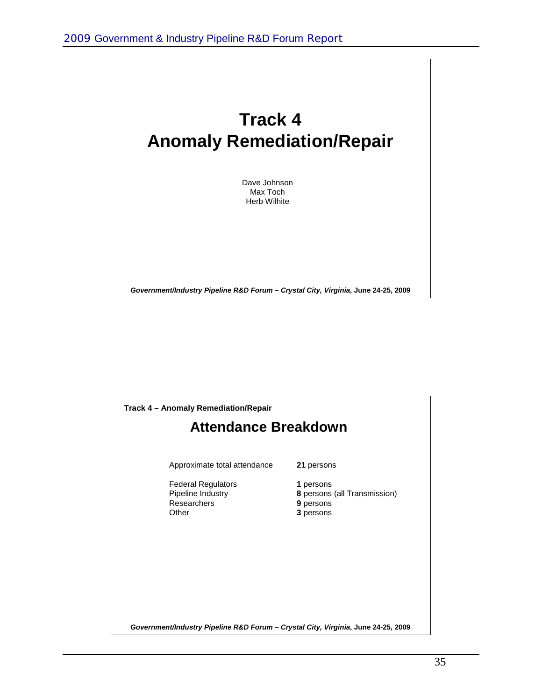

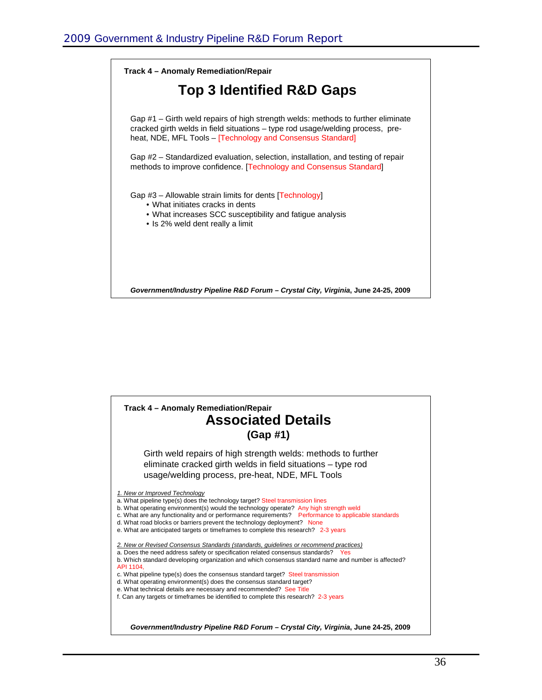

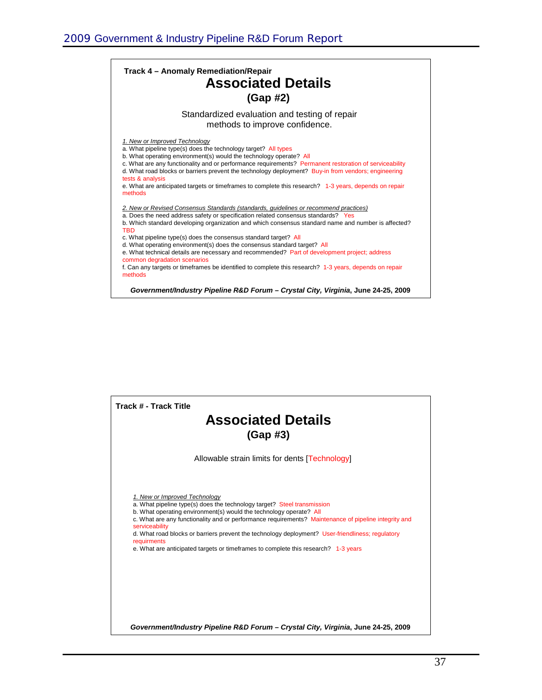| Track 4 - Anomaly Remediation/Repair<br><b>Associated Details</b><br>$(Gap \#2)$                                                                                                                                                                                                                                                                                                                                                                                                                                                                                                                                                                                                          |  |  |
|-------------------------------------------------------------------------------------------------------------------------------------------------------------------------------------------------------------------------------------------------------------------------------------------------------------------------------------------------------------------------------------------------------------------------------------------------------------------------------------------------------------------------------------------------------------------------------------------------------------------------------------------------------------------------------------------|--|--|
| Standardized evaluation and testing of repair<br>methods to improve confidence.                                                                                                                                                                                                                                                                                                                                                                                                                                                                                                                                                                                                           |  |  |
| 1. New or Improved Technology<br>a. What pipeline type(s) does the technology target? All types<br>b. What operating environment(s) would the technology operate? All<br>c. What are any functionality and or performance requirements? Permanent restoration of serviceability<br>d. What road blocks or barriers prevent the technology deployment? Buy-in from vendors; engineering<br>tests & analysis<br>e. What are anticipated targets or timeframes to complete this research? 1-3 years, depends on repair<br>methods                                                                                                                                                            |  |  |
| 2. New or Revised Consensus Standards (standards, quidelines or recommend practices)<br>a. Does the need address safety or specification related consensus standards? Yes<br>b. Which standard developing organization and which consensus standard name and number is affected?<br><b>TBD</b><br>c. What pipeline type(s) does the consensus standard target? All<br>d. What operating environment(s) does the consensus standard target? All<br>e. What technical details are necessary and recommended? Part of development project; address<br>common degradation scenarios<br>f. Can any targets or timeframes be identified to complete this research? 1-3 years, depends on repair |  |  |
| methods<br>Government/Industry Pipeline R&D Forum - Crystal City, Virginia, June 24-25, 2009                                                                                                                                                                                                                                                                                                                                                                                                                                                                                                                                                                                              |  |  |

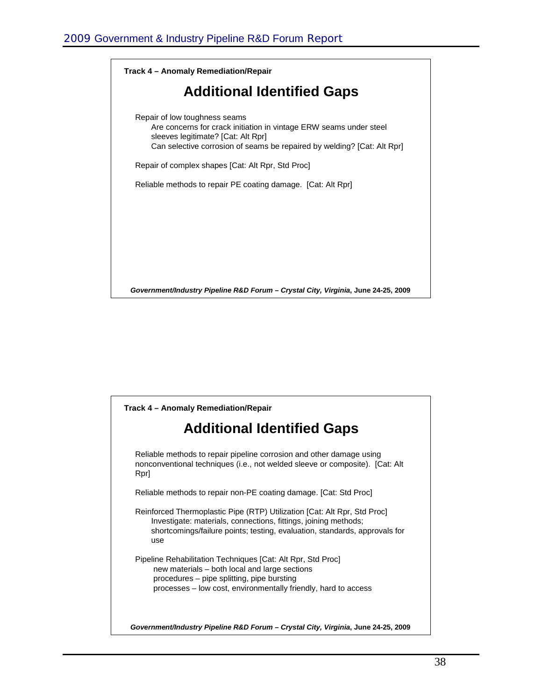

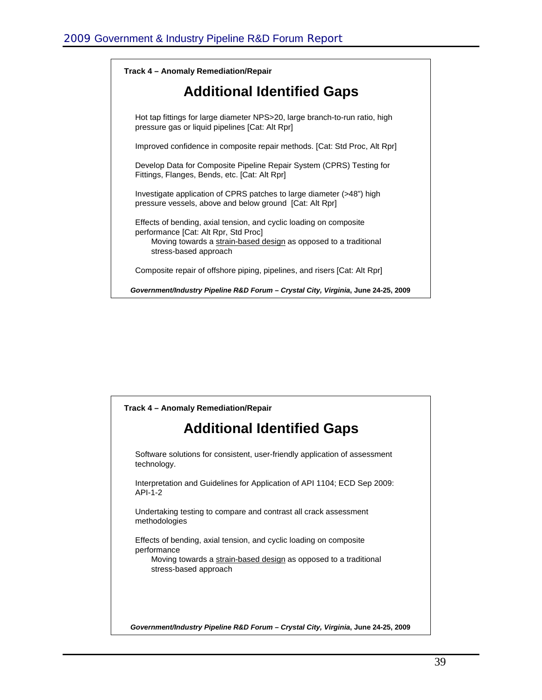

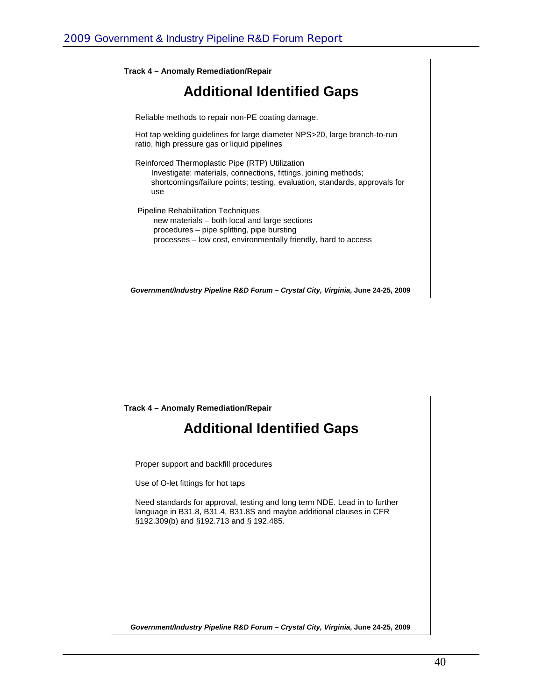

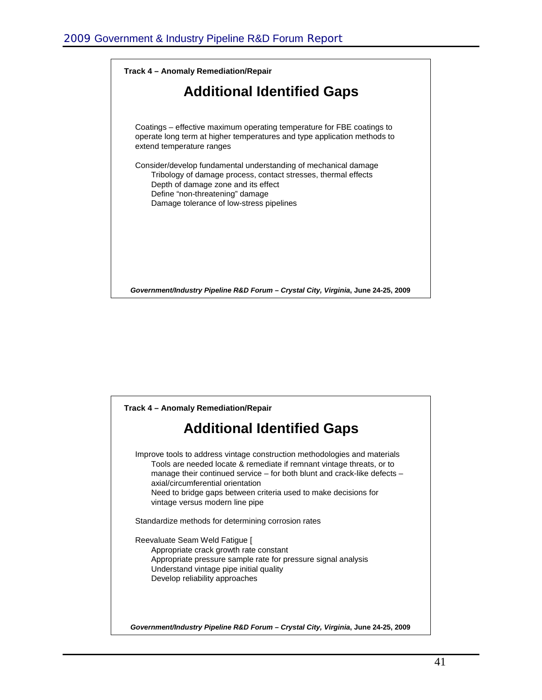

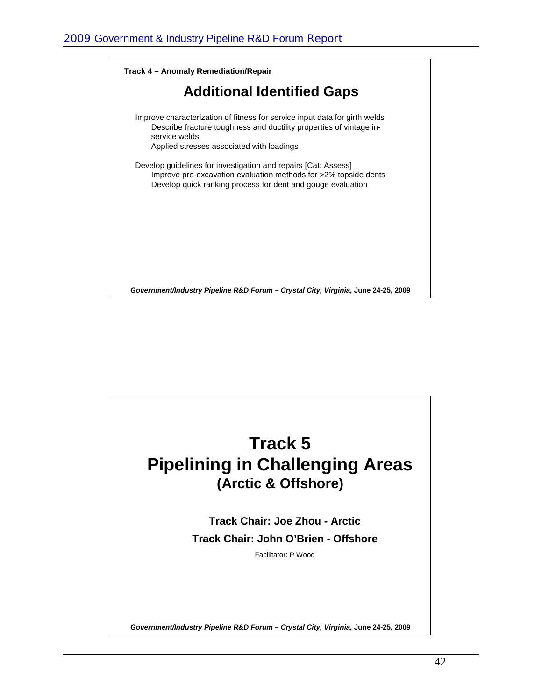

## **Track 5 Pipelining in Challenging Areas (Arctic & Offshore)**

**Track Chair: Joe Zhou - Arctic Track Chair: John O'Brien - Offshore**

Facilitator: P Wood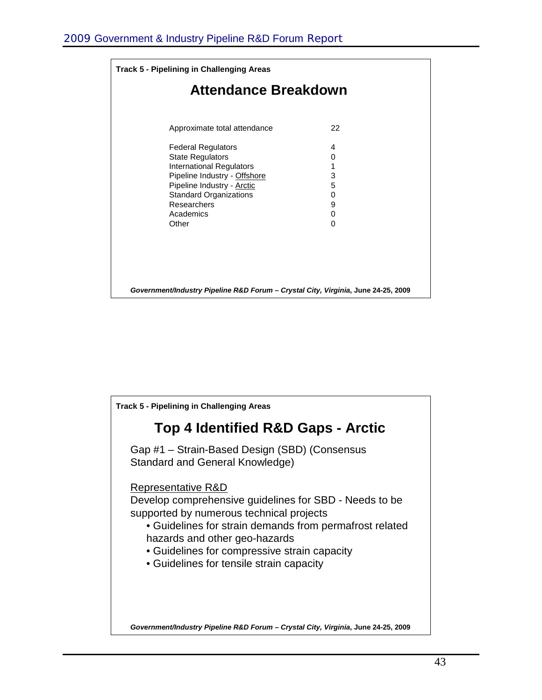| <b>Track 5 - Pipelining in Challenging Areas</b><br><b>Attendance Breakdown</b>   |   |  |
|-----------------------------------------------------------------------------------|---|--|
|                                                                                   |   |  |
| <b>Federal Regulators</b>                                                         | 4 |  |
| <b>State Regulators</b>                                                           | 0 |  |
| <b>International Regulators</b>                                                   | 1 |  |
| Pipeline Industry - Offshore                                                      | 3 |  |
| Pipeline Industry - Arctic                                                        | 5 |  |
| <b>Standard Organizations</b>                                                     | 0 |  |
| Researchers                                                                       | 9 |  |
| Academics                                                                         | 0 |  |
| Other                                                                             | 0 |  |
|                                                                                   |   |  |
|                                                                                   |   |  |
|                                                                                   |   |  |
|                                                                                   |   |  |
| Government/Industry Pipeline R&D Forum - Crystal City, Virginia, June 24-25, 2009 |   |  |

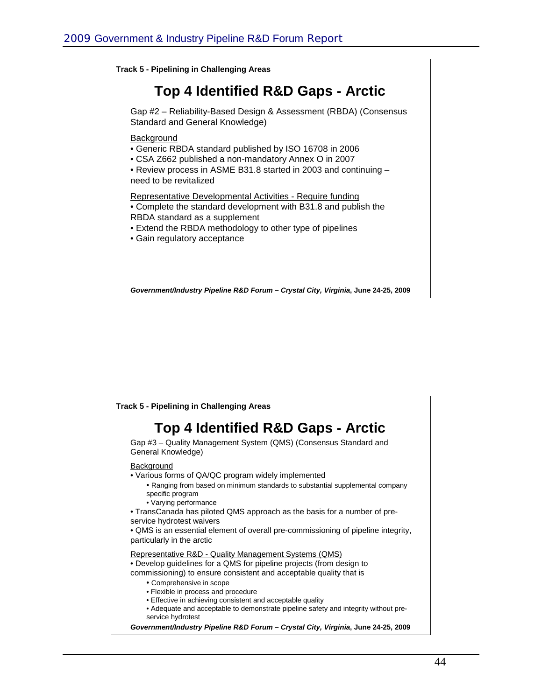

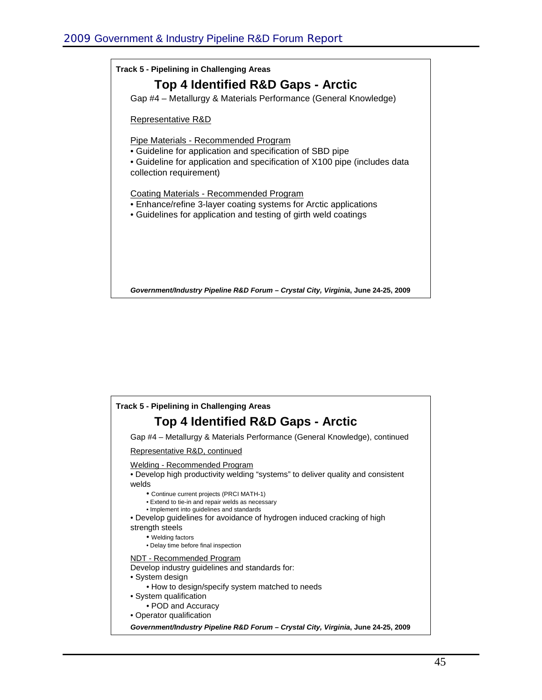

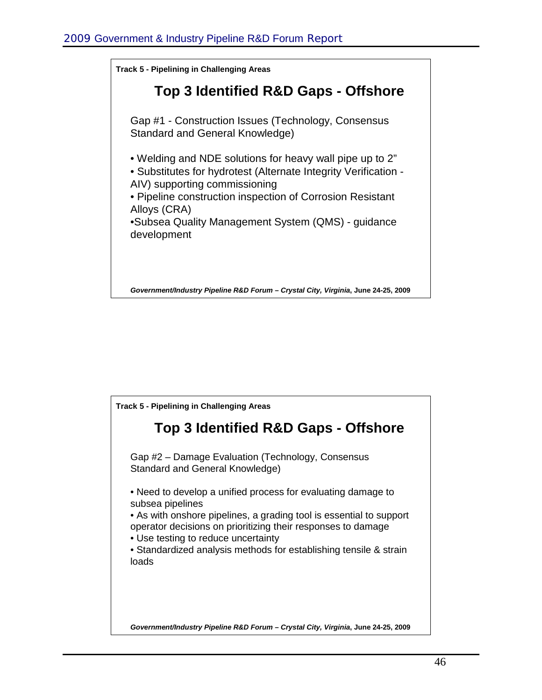

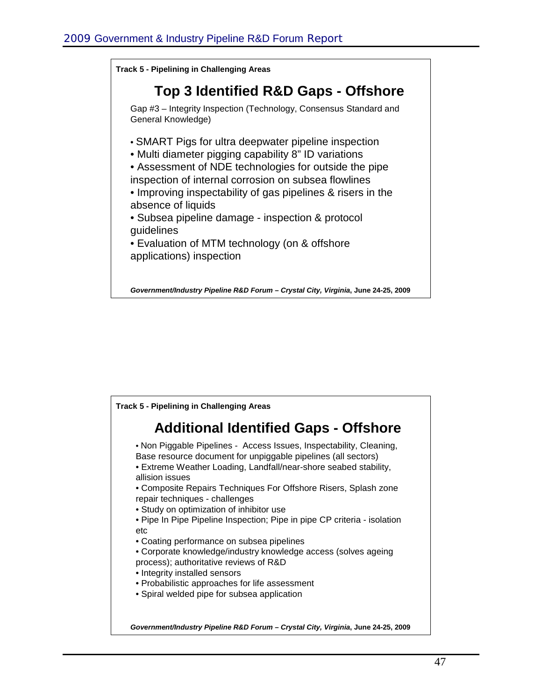**Top 3 Identified R&D Gaps - Offshore** Gap #3 – Integrity Inspection (Technology, Consensus Standard and General Knowledge) • SMART Pigs for ultra deepwater pipeline inspection • Multi diameter pigging capability 8" ID variations • Assessment of NDE technologies for outside the pipe inspection of internal corrosion on subsea flowlines • Improving inspectability of gas pipelines & risers in the absence of liquids • Subsea pipeline damage - inspection & protocol guidelines • Evaluation of MTM technology (on & offshore applications) inspection **Track 5 - Pipelining in Challenging Areas**

![](_page_47_Picture_2.jpeg)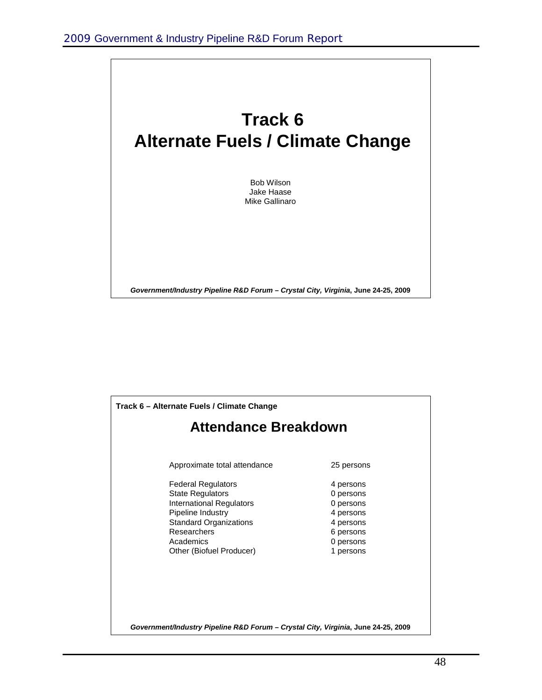![](_page_48_Picture_1.jpeg)

![](_page_48_Figure_2.jpeg)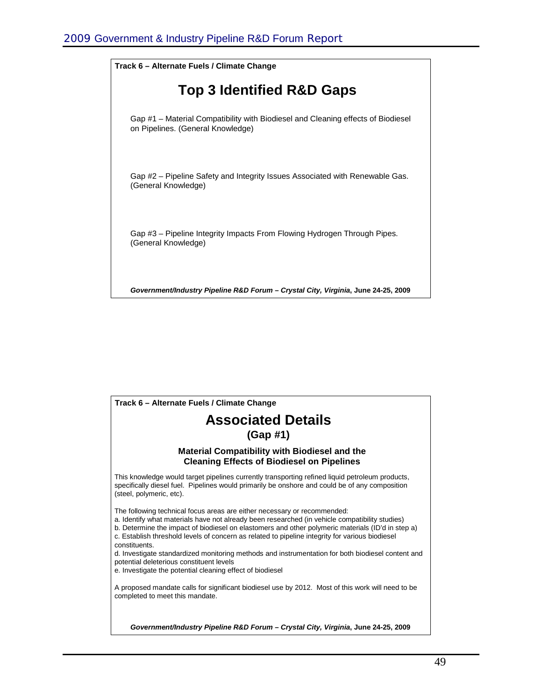![](_page_49_Figure_1.jpeg)

![](_page_49_Picture_2.jpeg)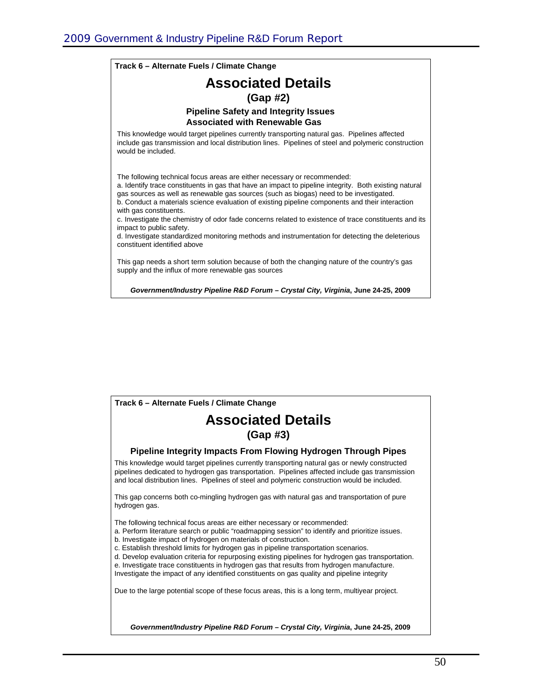#### *Government/Industry Pipeline R&D Forum – Crystal City, Virginia***, June 24-25, 2009 Associated Details (Gap #2) Pipeline Safety and Integrity Issues Associated with Renewable Gas** This knowledge would target pipelines currently transporting natural gas. Pipelines affected include gas transmission and local distribution lines. Pipelines of steel and polymeric construction would be included. The following technical focus areas are either necessary or recommended: a. Identify trace constituents in gas that have an impact to pipeline integrity. Both existing natural gas sources as well as renewable gas sources (such as biogas) need to be investigated. b. Conduct a materials science evaluation of existing pipeline components and their interaction with gas constituents. c. Investigate the chemistry of odor fade concerns related to existence of trace constituents and its impact to public safety. d. Investigate standardized monitoring methods and instrumentation for detecting the deleterious constituent identified above This gap needs a short term solution because of both the changing nature of the country's gas supply and the influx of more renewable gas sources **Track 6 – Alternate Fuels / Climate Change**

![](_page_50_Picture_2.jpeg)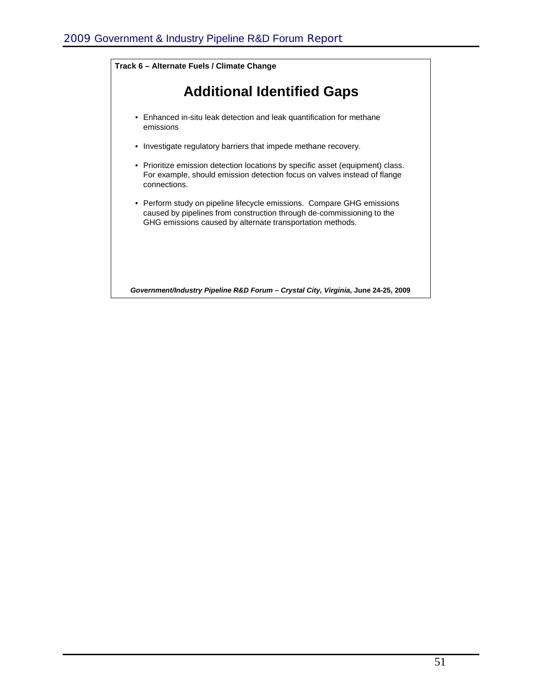![](_page_51_Figure_1.jpeg)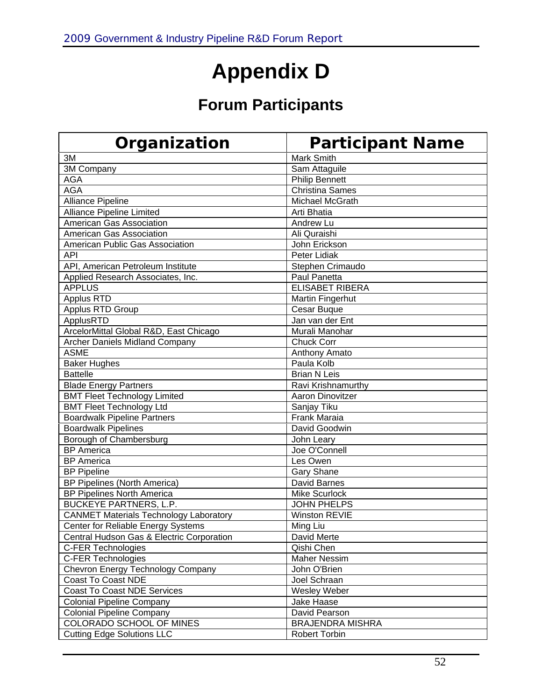## **Appendix D**

## **Forum Participants**

| Organization                                  | <b>Participant Name</b> |
|-----------------------------------------------|-------------------------|
| 3M                                            | <b>Mark Smith</b>       |
| 3M Company                                    | Sam Attaguile           |
| <b>AGA</b>                                    | <b>Philip Bennett</b>   |
| <b>AGA</b>                                    | <b>Christina Sames</b>  |
| <b>Alliance Pipeline</b>                      | Michael McGrath         |
| <b>Alliance Pipeline Limited</b>              | Arti Bhatia             |
| American Gas Association                      | Andrew Lu               |
| American Gas Association                      | Ali Quraishi            |
| American Public Gas Association               | John Erickson           |
| API                                           | Peter Lidiak            |
| API, American Petroleum Institute             | Stephen Crimaudo        |
| Applied Research Associates, Inc.             | Paul Panetta            |
| <b>APPLUS</b>                                 | <b>ELISABET RIBERA</b>  |
| Applus RTD                                    | Martin Fingerhut        |
| Applus RTD Group                              | Cesar Buque             |
| ApplusRTD                                     | Jan van der Ent         |
| ArcelorMittal Global R&D, East Chicago        | Murali Manohar          |
| <b>Archer Daniels Midland Company</b>         | <b>Chuck Corr</b>       |
| <b>ASME</b>                                   | Anthony Amato           |
| <b>Baker Hughes</b>                           | Paula Kolb              |
| <b>Battelle</b>                               | <b>Brian N Leis</b>     |
| <b>Blade Energy Partners</b>                  | Ravi Krishnamurthy      |
| <b>BMT Fleet Technology Limited</b>           | <b>Aaron Dinovitzer</b> |
| <b>BMT Fleet Technology Ltd</b>               | Sanjay Tiku             |
| <b>Boardwalk Pipeline Partners</b>            | <b>Frank Maraia</b>     |
| <b>Boardwalk Pipelines</b>                    | David Goodwin           |
| Borough of Chambersburg                       | John Leary              |
| <b>BP</b> America                             | Joe O'Connell           |
| <b>BP</b> America                             | Les Owen                |
| <b>BP Pipeline</b>                            | <b>Gary Shane</b>       |
| BP Pipelines (North America)                  | <b>David Barnes</b>     |
| <b>BP Pipelines North America</b>             | Mike Scurlock           |
| <b>BUCKEYE PARTNERS, L.P.</b>                 | <b>JOHN PHELPS</b>      |
| <b>CANMET Materials Technology Laboratory</b> | <b>Winston REVIE</b>    |
| Center for Reliable Energy Systems            | Ming Liu                |
| Central Hudson Gas & Electric Corporation     | David Merte             |
| C-FER Technologies                            | Qishi Chen              |
| C-FER Technologies                            | <b>Maher Nessim</b>     |
| Chevron Energy Technology Company             | John O'Brien            |
| Coast To Coast NDE                            | Joel Schraan            |
| Coast To Coast NDE Services                   | Wesley Weber            |
| <b>Colonial Pipeline Company</b>              | Jake Haase              |
| <b>Colonial Pipeline Company</b>              | David Pearson           |
| COLORADO SCHOOL OF MINES                      | <b>BRAJENDRA MISHRA</b> |
| <b>Cutting Edge Solutions LLC</b>             | <b>Robert Torbin</b>    |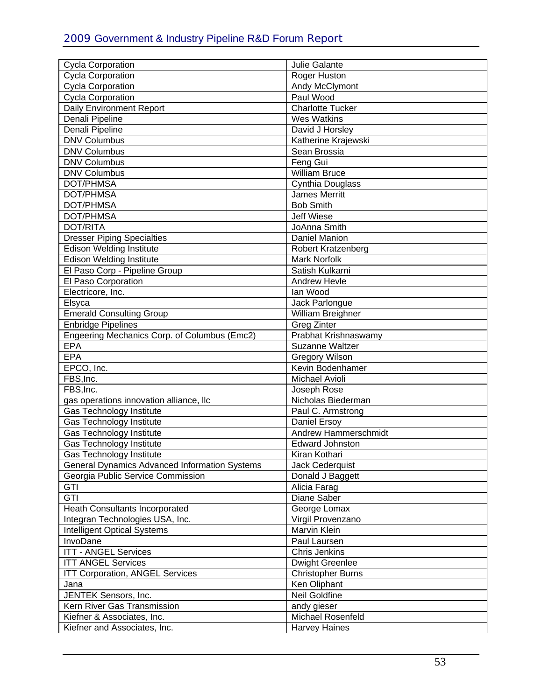| <b>Cycla Corporation</b>                      | Julie Galante             |
|-----------------------------------------------|---------------------------|
| <b>Cycla Corporation</b>                      | Roger Huston              |
| <b>Cycla Corporation</b>                      | Andy McClymont            |
| <b>Cycla Corporation</b>                      | Paul Wood                 |
| Daily Environment Report                      | <b>Charlotte Tucker</b>   |
| Denali Pipeline                               | <b>Wes Watkins</b>        |
| Denali Pipeline                               | David J Horsley           |
| <b>DNV Columbus</b>                           | Katherine Krajewski       |
| <b>DNV Columbus</b>                           | Sean Brossia              |
|                                               |                           |
| <b>DNV Columbus</b>                           | Feng Gui                  |
| <b>DNV Columbus</b>                           | <b>William Bruce</b>      |
| DOT/PHMSA                                     | Cynthia Douglass          |
| DOT/PHMSA                                     | <b>James Merritt</b>      |
| DOT/PHMSA                                     | <b>Bob Smith</b>          |
| DOT/PHMSA                                     | <b>Jeff Wiese</b>         |
| <b>DOT/RITA</b>                               | JoAnna Smith              |
| <b>Dresser Piping Specialties</b>             | Daniel Manion             |
| <b>Edison Welding Institute</b>               | <b>Robert Kratzenberg</b> |
| <b>Edison Welding Institute</b>               | <b>Mark Norfolk</b>       |
| El Paso Corp - Pipeline Group                 | Satish Kulkarni           |
| El Paso Corporation                           | Andrew Hevle              |
| Electricore, Inc.                             | lan Wood                  |
| Elsyca                                        | Jack Parlongue            |
| <b>Emerald Consulting Group</b>               | William Breighner         |
| <b>Enbridge Pipelines</b>                     | <b>Greg Zinter</b>        |
| Engeering Mechanics Corp. of Columbus (Emc2)  | Prabhat Krishnaswamy      |
| <b>EPA</b>                                    | Suzanne Waltzer           |
| <b>EPA</b>                                    | <b>Gregory Wilson</b>     |
| EPCO, Inc.                                    | Kevin Bodenhamer          |
| FBS, Inc.                                     | Michael Avioli            |
| FBS, Inc.                                     | Joseph Rose               |
| gas operations innovation alliance, Ilc       | Nicholas Biederman        |
| Gas Technology Institute                      | Paul C. Armstrong         |
| <b>Gas Technology Institute</b>               | Daniel Ersoy              |
| Gas Technology Institute                      | Andrew Hammerschmidt      |
| Gas Technology Institute                      | <b>Edward Johnston</b>    |
| Gas Technology Institute                      | Kiran Kothari             |
| General Dynamics Advanced Information Systems | Jack Cederquist           |
| Georgia Public Service Commission             | Donald J Baggett          |
| GTI                                           | Alicia Farag              |
| GTI                                           | Diane Saber               |
| Heath Consultants Incorporated                | George Lomax              |
| Integran Technologies USA, Inc.               | Virgil Provenzano         |
| <b>Intelligent Optical Systems</b>            | Marvin Klein              |
|                                               |                           |
| InvoDane                                      | Paul Laursen              |
| <b>ITT - ANGEL Services</b>                   | <b>Chris Jenkins</b>      |
| <b>ITT ANGEL Services</b>                     | <b>Dwight Greenlee</b>    |
| <b>ITT Corporation, ANGEL Services</b>        | <b>Christopher Burns</b>  |
| Jana                                          | Ken Oliphant              |
| JENTEK Sensors, Inc.                          | Neil Goldfine             |
| Kern River Gas Transmission                   | andy gieser               |
| Kiefner & Associates, Inc.                    | Michael Rosenfeld         |
| Kiefner and Associates, Inc.                  | <b>Harvey Haines</b>      |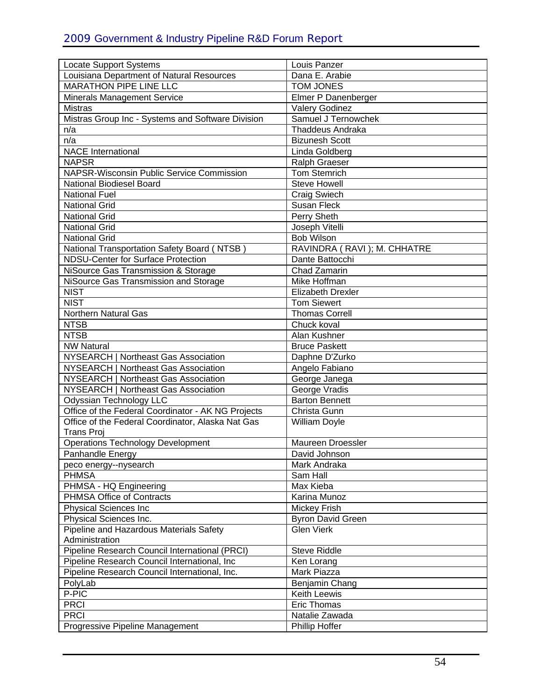| <b>Locate Support Systems</b><br>Louisiana Department of Natural Resources | Louis Panzer<br>Dana E. Arabie |
|----------------------------------------------------------------------------|--------------------------------|
| <b>MARATHON PIPE LINE LLC</b>                                              | <b>TOM JONES</b>               |
|                                                                            | Elmer P Danenberger            |
| <b>Minerals Management Service</b><br><b>Mistras</b>                       | <b>Valery Godinez</b>          |
|                                                                            |                                |
| Mistras Group Inc - Systems and Software Division                          | Samuel J Ternowchek            |
| n/a                                                                        | <b>Thaddeus Andraka</b>        |
| n/a                                                                        | <b>Bizunesh Scott</b>          |
| <b>NACE International</b>                                                  | Linda Goldberg                 |
| <b>NAPSR</b>                                                               | <b>Ralph Graeser</b>           |
| NAPSR-Wisconsin Public Service Commission                                  | <b>Tom Stemrich</b>            |
| National Biodiesel Board                                                   | <b>Steve Howell</b>            |
| <b>National Fuel</b>                                                       | <b>Craig Swiech</b>            |
| <b>National Grid</b>                                                       | <b>Susan Fleck</b>             |
| <b>National Grid</b>                                                       | Perry Sheth                    |
| <b>National Grid</b>                                                       | Joseph Vitelli                 |
| <b>National Grid</b>                                                       | <b>Bob Wilson</b>              |
| National Transportation Safety Board (NTSB)                                | RAVINDRA (RAVI); M. CHHATRE    |
| <b>NDSU-Center for Surface Protection</b>                                  | Dante Battocchi                |
| NiSource Gas Transmission & Storage                                        | Chad Zamarin                   |
| NiSource Gas Transmission and Storage                                      | Mike Hoffman                   |
| <b>NIST</b>                                                                | <b>Elizabeth Drexler</b>       |
| <b>NIST</b>                                                                | <b>Tom Siewert</b>             |
| Northern Natural Gas                                                       | <b>Thomas Correll</b>          |
| <b>NTSB</b>                                                                | Chuck koval                    |
| <b>NTSB</b>                                                                | Alan Kushner                   |
| <b>NW Natural</b>                                                          | <b>Bruce Paskett</b>           |
| NYSEARCH   Northeast Gas Association                                       | Daphne D'Zurko                 |
| NYSEARCH   Northeast Gas Association                                       | Angelo Fabiano                 |
| NYSEARCH   Northeast Gas Association                                       | George Janega                  |
| NYSEARCH   Northeast Gas Association                                       | George Vradis                  |
| <b>Odyssian Technology LLC</b>                                             | <b>Barton Bennett</b>          |
| Office of the Federal Coordinator - AK NG Projects                         | Christa Gunn                   |
| Office of the Federal Coordinator, Alaska Nat Gas                          | William Doyle                  |
| <b>Trans Proj</b>                                                          |                                |
| Operations Technology Development                                          | <b>Maureen Droessler</b>       |
| Panhandle Energy                                                           | David Johnson                  |
| peco energy--nysearch                                                      | Mark Andraka                   |
| <b>PHMSA</b>                                                               | Sam Hall                       |
| PHMSA - HQ Engineering                                                     | Max Kieba                      |
| PHMSA Office of Contracts                                                  | Karina Munoz                   |
| <b>Physical Sciences Inc</b>                                               | <b>Mickey Frish</b>            |
| Physical Sciences Inc.                                                     | Byron David Green              |
| Pipeline and Hazardous Materials Safety                                    | <b>Glen Vierk</b>              |
| Administration                                                             |                                |
| Pipeline Research Council International (PRCI)                             | <b>Steve Riddle</b>            |
| Pipeline Research Council International, Inc.                              | Ken Lorang                     |
| Pipeline Research Council International, Inc.                              | Mark Piazza                    |
| PolyLab                                                                    | Benjamin Chang                 |
| P-PIC                                                                      | <b>Keith Leewis</b>            |
| <b>PRCI</b>                                                                | <b>Eric Thomas</b>             |
| <b>PRCI</b>                                                                | Natalie Zawada                 |
| Progressive Pipeline Management                                            | <b>Phillip Hoffer</b>          |
|                                                                            |                                |